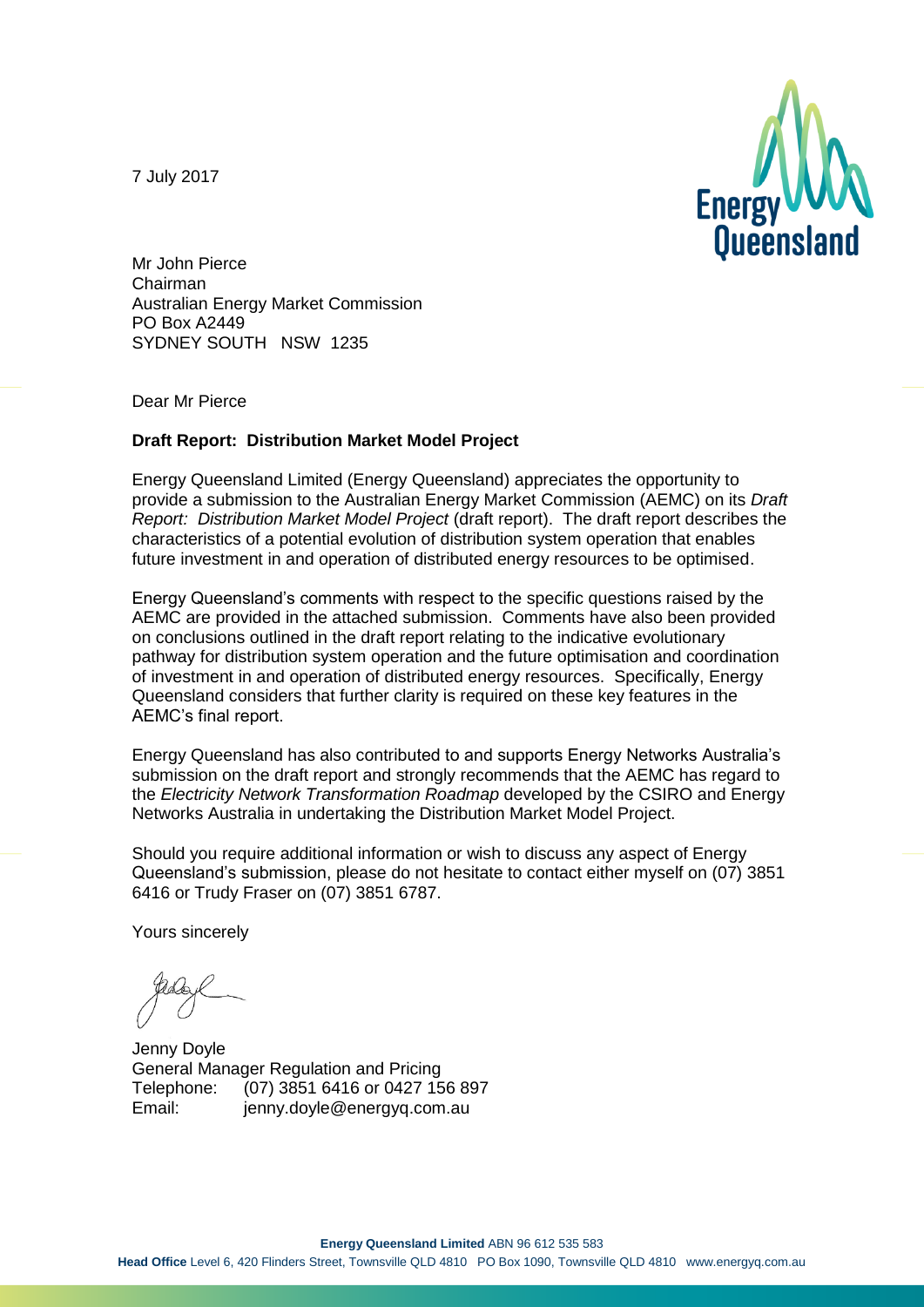7 July 2017



Mr John Pierce Chairman Australian Energy Market Commission PO Box A2449 SYDNEY SOUTH NSW 1235

Dear Mr Pierce

#### **Draft Report: Distribution Market Model Project**

Energy Queensland Limited (Energy Queensland) appreciates the opportunity to provide a submission to the Australian Energy Market Commission (AEMC) on its *Draft Report: Distribution Market Model Project* (draft report). The draft report describes the characteristics of a potential evolution of distribution system operation that enables future investment in and operation of distributed energy resources to be optimised.

Energy Queensland's comments with respect to the specific questions raised by the AEMC are provided in the attached submission. Comments have also been provided on conclusions outlined in the draft report relating to the indicative evolutionary pathway for distribution system operation and the future optimisation and coordination of investment in and operation of distributed energy resources. Specifically, Energy Queensland considers that further clarity is required on these key features in the AEMC's final report.

Energy Queensland has also contributed to and supports Energy Networks Australia's submission on the draft report and strongly recommends that the AEMC has regard to the *Electricity Network Transformation Roadmap* developed by the CSIRO and Energy Networks Australia in undertaking the Distribution Market Model Project.

Should you require additional information or wish to discuss any aspect of Energy Queensland's submission, please do not hesitate to contact either myself on (07) 3851 6416 or Trudy Fraser on (07) 3851 6787.

Yours sincerely

Jenny Doyle General Manager Regulation and Pricing Telephone: (07) 3851 6416 or 0427 156 897 Email: jenny.doyle@energyq.com.au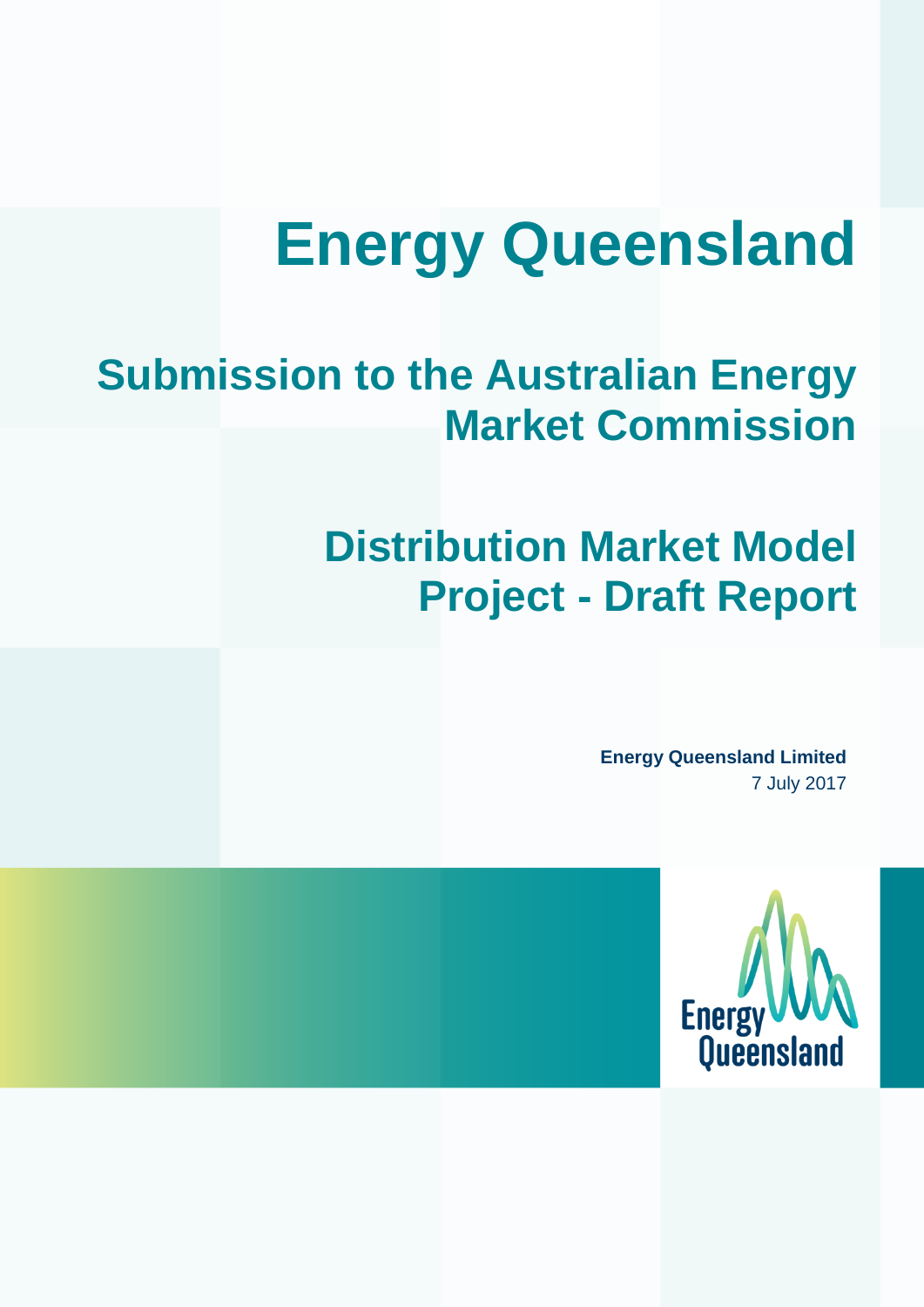# **Energy Queensland**

# **Submission to the Australian Energy Market Commission**

# **Distribution Market Model Project - Draft Report**

**Energy Queensland Limited** 7 July 2017

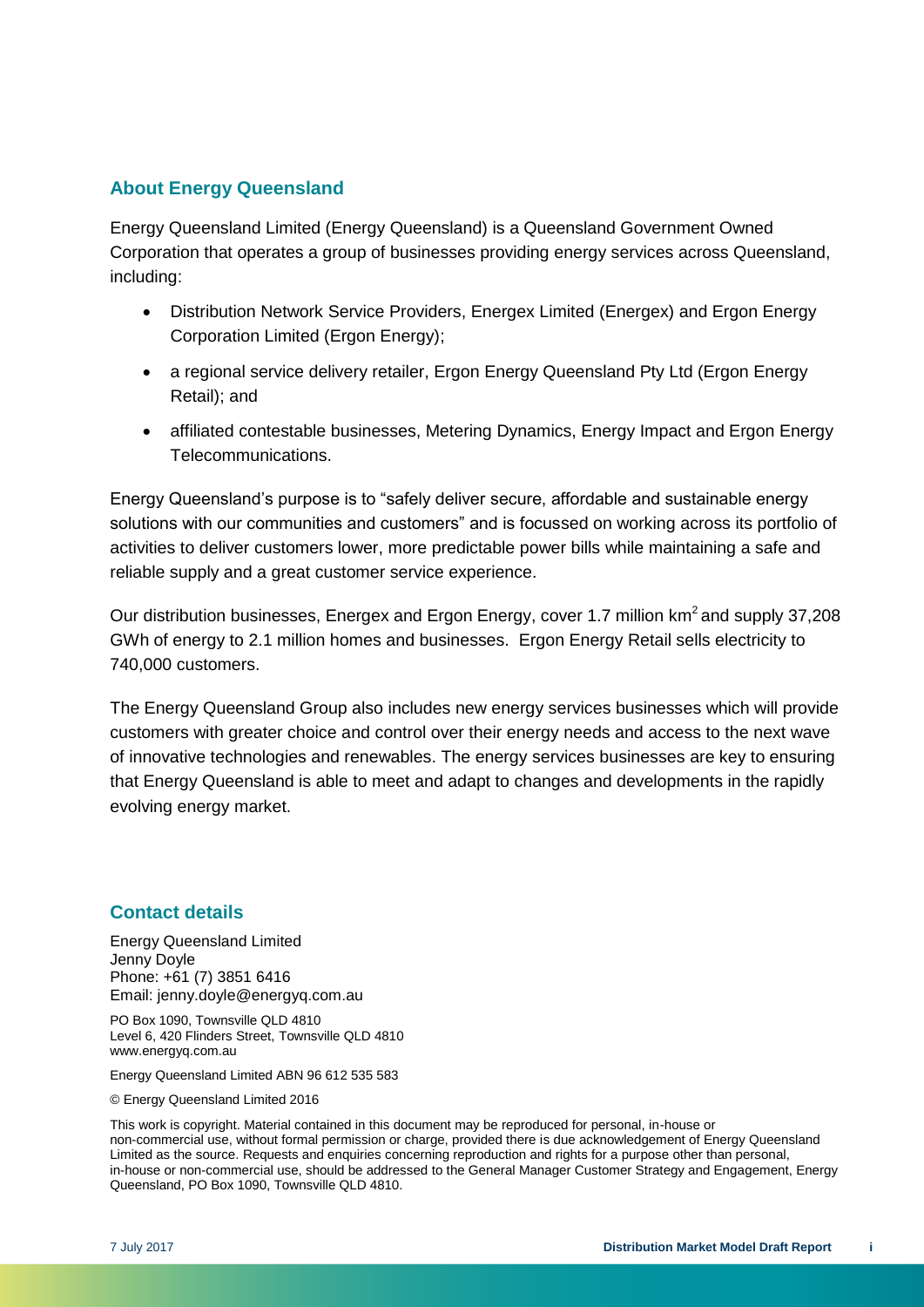#### **About Energy Queensland**

Energy Queensland Limited (Energy Queensland) is a Queensland Government Owned Corporation that operates a group of businesses providing energy services across Queensland, including:

- Distribution Network Service Providers, Energex Limited (Energex) and Ergon Energy Corporation Limited (Ergon Energy);
- a regional service delivery retailer, Ergon Energy Queensland Pty Ltd (Ergon Energy Retail); and
- affiliated contestable businesses, Metering Dynamics, Energy Impact and Ergon Energy Telecommunications.

Energy Queensland's purpose is to "safely deliver secure, affordable and sustainable energy solutions with our communities and customers" and is focussed on working across its portfolio of activities to deliver customers lower, more predictable power bills while maintaining a safe and reliable supply and a great customer service experience.

Our distribution businesses, Energex and Ergon Energy, cover 1.7 million km<sup>2</sup> and supply 37,208 GWh of energy to 2.1 million homes and businesses. Ergon Energy Retail sells electricity to 740,000 customers.

The Energy Queensland Group also includes new energy services businesses which will provide customers with greater choice and control over their energy needs and access to the next wave of innovative technologies and renewables. The energy services businesses are key to ensuring that Energy Queensland is able to meet and adapt to changes and developments in the rapidly evolving energy market.

#### **Contact details**

Energy Queensland Limited Jenny Doyle Phone: +61 (7) 3851 6416 Email: jenny.doyle@energyq.com.au

PO Box 1090, Townsville QLD 4810 Level 6, 420 Flinders Street, Townsville QLD 4810 www.energyq.com.au

Energy Queensland Limited ABN 96 612 535 583

© Energy Queensland Limited 2016

This work is copyright. Material contained in this document may be reproduced for personal, in-house or non-commercial use, without formal permission or charge, provided there is due acknowledgement of Energy Queensland Limited as the source. Requests and enquiries concerning reproduction and rights for a purpose other than personal, in-house or non-commercial use, should be addressed to the General Manager Customer Strategy and Engagement, Energy Queensland, PO Box 1090, Townsville QLD 4810.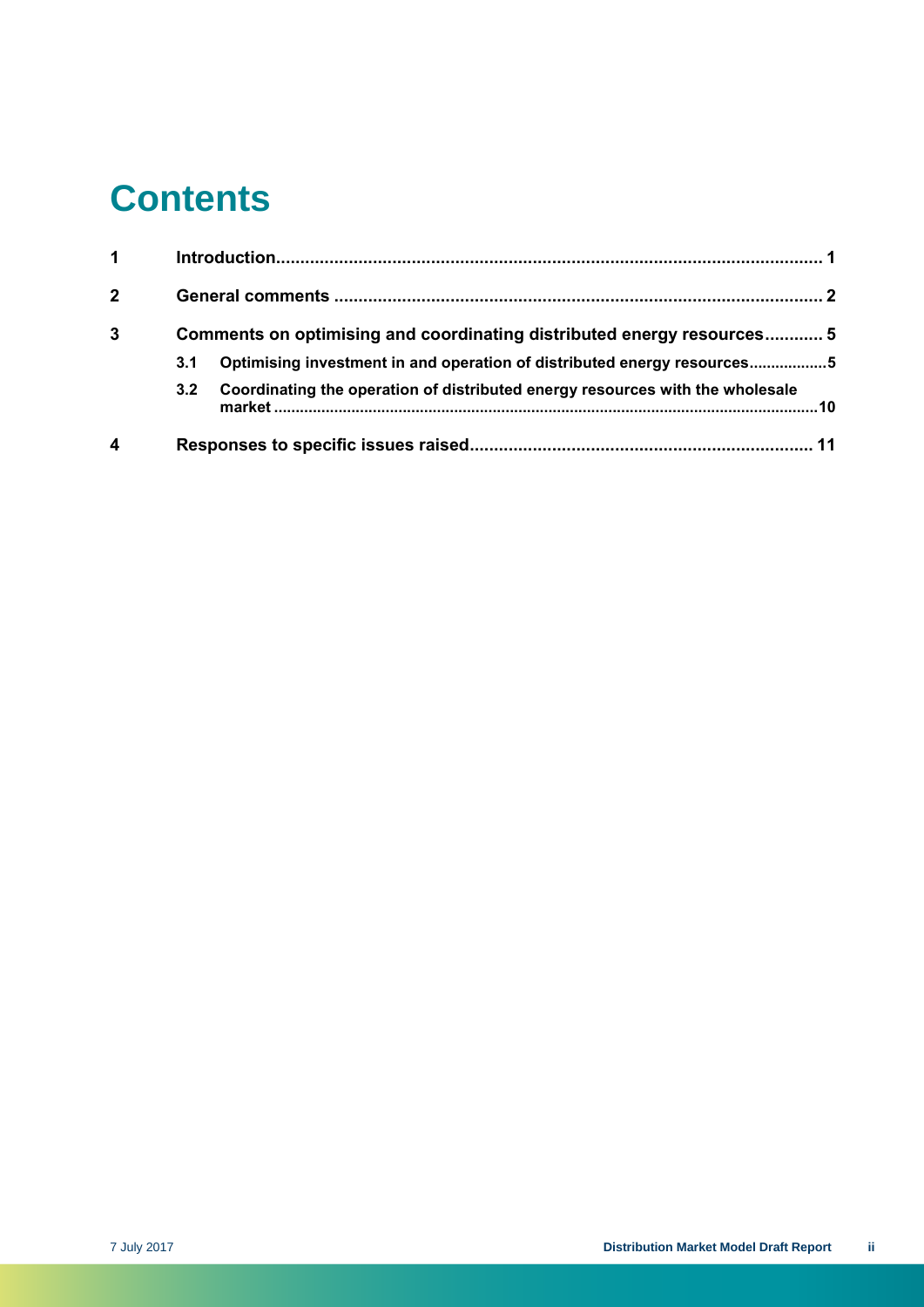### **Contents**

| 1              |                                                                        |                                                                               |
|----------------|------------------------------------------------------------------------|-------------------------------------------------------------------------------|
| $\overline{2}$ |                                                                        |                                                                               |
| 3              | Comments on optimising and coordinating distributed energy resources 5 |                                                                               |
|                | 3.1                                                                    | Optimising investment in and operation of distributed energy resources5       |
|                | 3.2                                                                    | Coordinating the operation of distributed energy resources with the wholesale |
| 4              |                                                                        |                                                                               |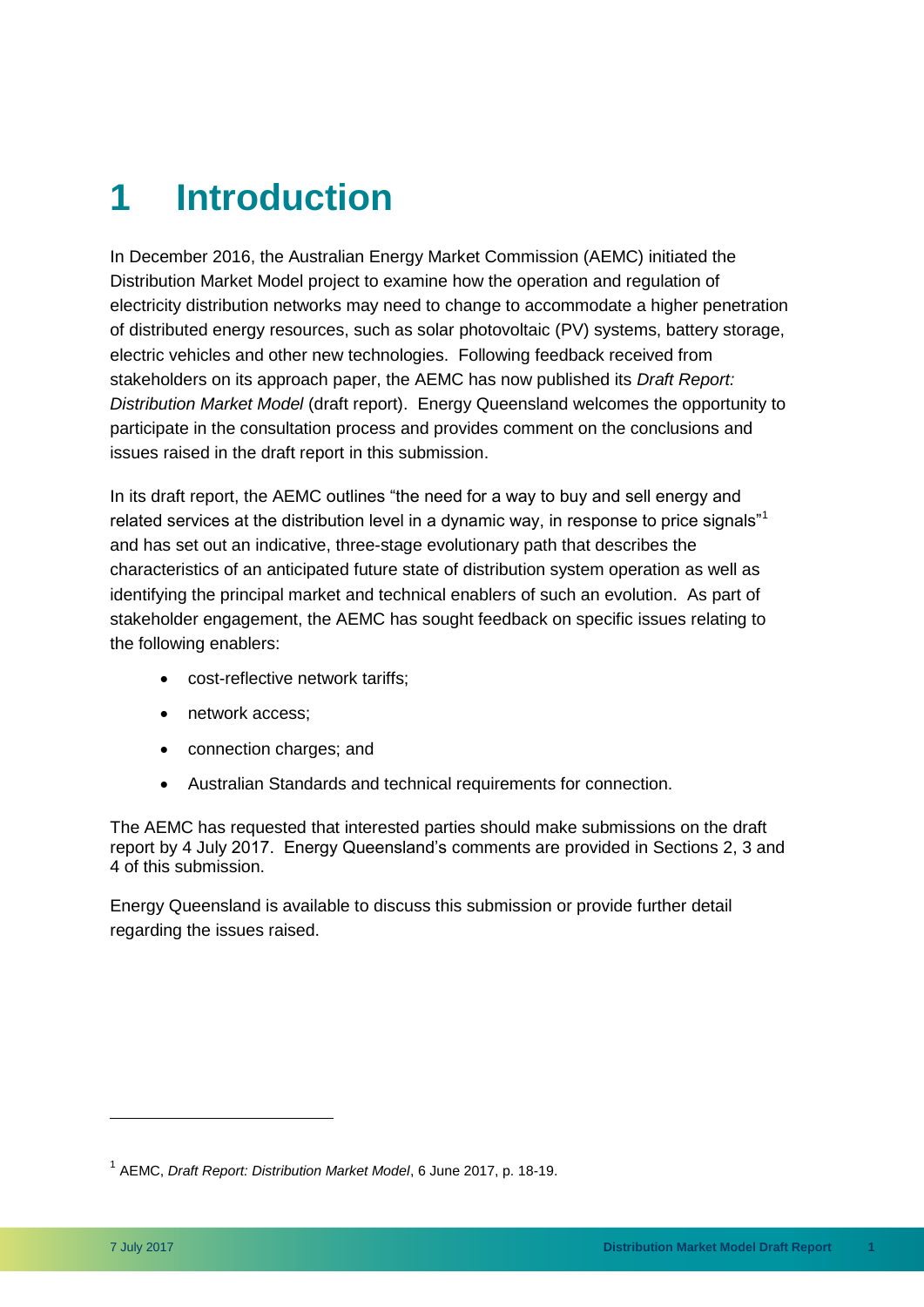### <span id="page-4-0"></span>**1 Introduction**

In December 2016, the Australian Energy Market Commission (AEMC) initiated the Distribution Market Model project to examine how the operation and regulation of electricity distribution networks may need to change to accommodate a higher penetration of distributed energy resources, such as solar photovoltaic (PV) systems, battery storage, electric vehicles and other new technologies. Following feedback received from stakeholders on its approach paper, the AEMC has now published its *Draft Report: Distribution Market Model* (draft report). Energy Queensland welcomes the opportunity to participate in the consultation process and provides comment on the conclusions and issues raised in the draft report in this submission.

In its draft report, the AEMC outlines "the need for a way to buy and sell energy and related services at the distribution level in a dynamic way, in response to price signals"<sup>1</sup> and has set out an indicative, three-stage evolutionary path that describes the characteristics of an anticipated future state of distribution system operation as well as identifying the principal market and technical enablers of such an evolution. As part of stakeholder engagement, the AEMC has sought feedback on specific issues relating to the following enablers:

- cost-reflective network tariffs;
- network access;
- connection charges; and
- Australian Standards and technical requirements for connection.

The AEMC has requested that interested parties should make submissions on the draft report by 4 July 2017. Energy Queensland's comments are provided in Sections 2, 3 and 4 of this submission.

Energy Queensland is available to discuss this submission or provide further detail regarding the issues raised.

<sup>1</sup> AEMC, *Draft Report: Distribution Market Model*, 6 June 2017, p. 18-19.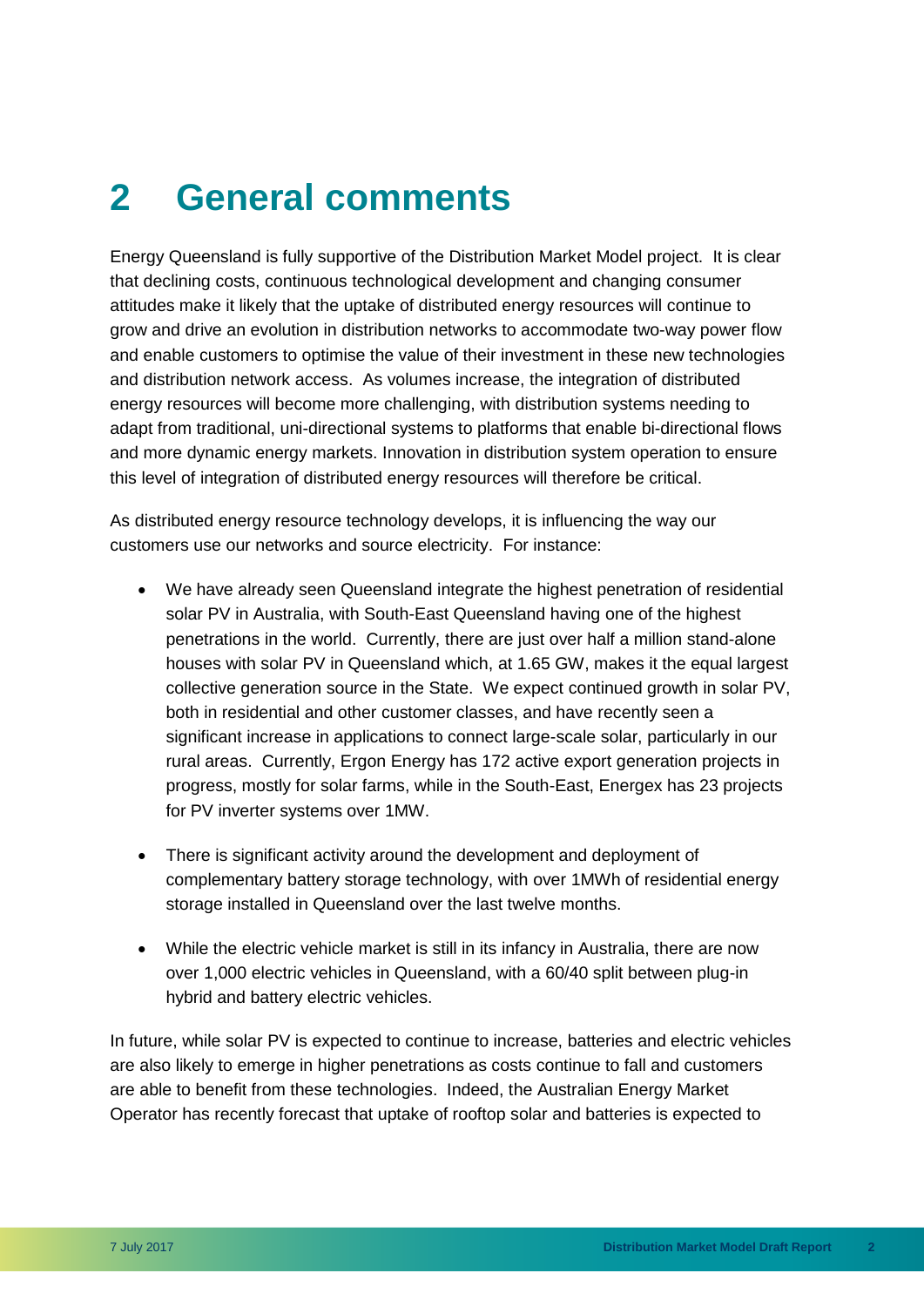### <span id="page-5-0"></span>**2 General comments**

Energy Queensland is fully supportive of the Distribution Market Model project. It is clear that declining costs, continuous technological development and changing consumer attitudes make it likely that the uptake of distributed energy resources will continue to grow and drive an evolution in distribution networks to accommodate two-way power flow and enable customers to optimise the value of their investment in these new technologies and distribution network access. As volumes increase, the integration of distributed energy resources will become more challenging, with distribution systems needing to adapt from traditional, uni-directional systems to platforms that enable bi-directional flows and more dynamic energy markets. Innovation in distribution system operation to ensure this level of integration of distributed energy resources will therefore be critical.

As distributed energy resource technology develops, it is influencing the way our customers use our networks and source electricity. For instance:

- We have already seen Queensland integrate the highest penetration of residential solar PV in Australia, with South-East Queensland having one of the highest penetrations in the world. Currently, there are just over half a million stand-alone houses with solar PV in Queensland which, at 1.65 GW, makes it the equal largest collective generation source in the State. We expect continued growth in solar PV, both in residential and other customer classes, and have recently seen a significant increase in applications to connect large-scale solar, particularly in our rural areas. Currently, Ergon Energy has 172 active export generation projects in progress, mostly for solar farms, while in the South-East, Energex has 23 projects for PV inverter systems over 1MW.
- There is significant activity around the development and deployment of complementary battery storage technology, with over 1MWh of residential energy storage installed in Queensland over the last twelve months.
- While the electric vehicle market is still in its infancy in Australia, there are now over 1,000 electric vehicles in Queensland, with a 60/40 split between plug-in hybrid and battery electric vehicles.

In future, while solar PV is expected to continue to increase, batteries and electric vehicles are also likely to emerge in higher penetrations as costs continue to fall and customers are able to benefit from these technologies. Indeed, the Australian Energy Market Operator has recently forecast that uptake of rooftop solar and batteries is expected to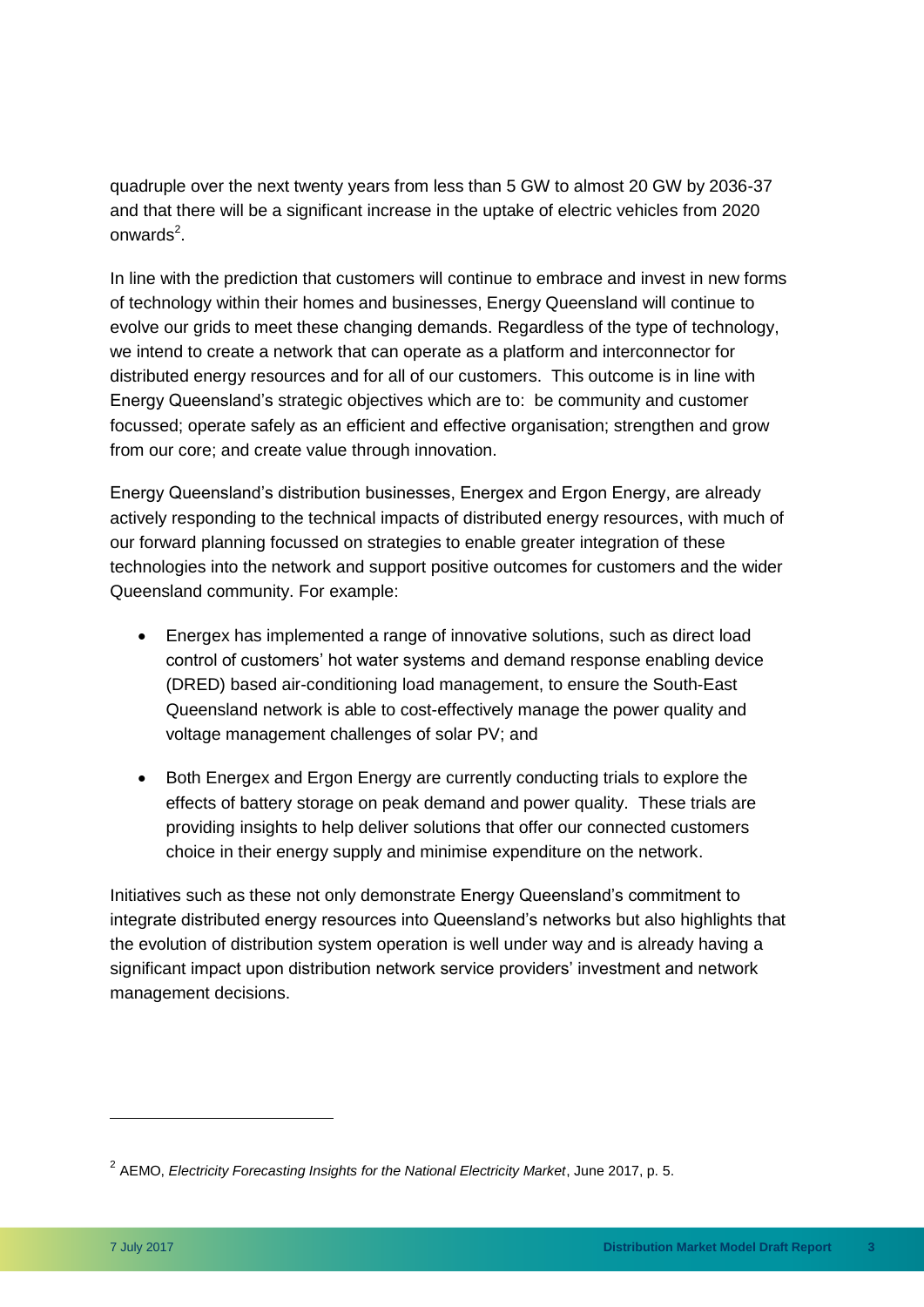quadruple over the next twenty years from less than 5 GW to almost 20 GW by 2036-37 and that there will be a significant increase in the uptake of electric vehicles from 2020 onwards $^2$ .

In line with the prediction that customers will continue to embrace and invest in new forms of technology within their homes and businesses, Energy Queensland will continue to evolve our grids to meet these changing demands. Regardless of the type of technology, we intend to create a network that can operate as a platform and interconnector for distributed energy resources and for all of our customers. This outcome is in line with Energy Queensland's strategic objectives which are to: be community and customer focussed; operate safely as an efficient and effective organisation; strengthen and grow from our core; and create value through innovation.

Energy Queensland's distribution businesses, Energex and Ergon Energy, are already actively responding to the technical impacts of distributed energy resources, with much of our forward planning focussed on strategies to enable greater integration of these technologies into the network and support positive outcomes for customers and the wider Queensland community. For example:

- Energex has implemented a range of innovative solutions, such as direct load control of customers' hot water systems and demand response enabling device (DRED) based air-conditioning load management, to ensure the South-East Queensland network is able to cost-effectively manage the power quality and voltage management challenges of solar PV; and
- Both Energex and Ergon Energy are currently conducting trials to explore the effects of battery storage on peak demand and power quality. These trials are providing insights to help deliver solutions that offer our connected customers choice in their energy supply and minimise expenditure on the network.

Initiatives such as these not only demonstrate Energy Queensland's commitment to integrate distributed energy resources into Queensland's networks but also highlights that the evolution of distribution system operation is well under way and is already having a significant impact upon distribution network service providers' investment and network management decisions.

<sup>2</sup> AEMO, *Electricity Forecasting Insights for the National Electricity Market*, June 2017, p. 5.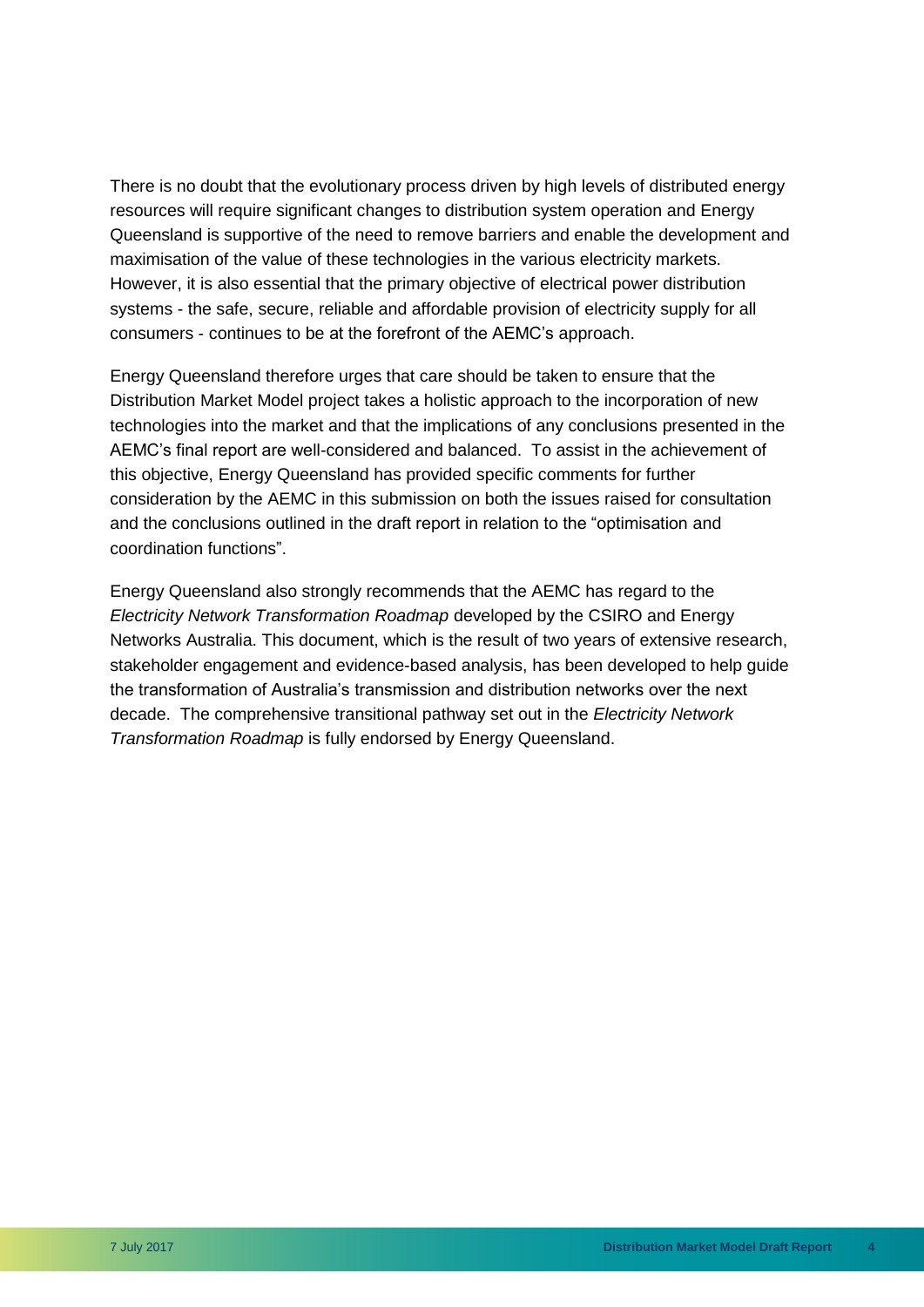There is no doubt that the evolutionary process driven by high levels of distributed energy resources will require significant changes to distribution system operation and Energy Queensland is supportive of the need to remove barriers and enable the development and maximisation of the value of these technologies in the various electricity markets. However, it is also essential that the primary objective of electrical power distribution systems - the safe, secure, reliable and affordable provision of electricity supply for all consumers - continues to be at the forefront of the AEMC's approach.

Energy Queensland therefore urges that care should be taken to ensure that the Distribution Market Model project takes a holistic approach to the incorporation of new technologies into the market and that the implications of any conclusions presented in the AEMC's final report are well-considered and balanced. To assist in the achievement of this objective, Energy Queensland has provided specific comments for further consideration by the AEMC in this submission on both the issues raised for consultation and the conclusions outlined in the draft report in relation to the "optimisation and coordination functions".

Energy Queensland also strongly recommends that the AEMC has regard to the *Electricity Network Transformation Roadmap* developed by the CSIRO and Energy Networks Australia. This document, which is the result of two years of extensive research, stakeholder engagement and evidence-based analysis, has been developed to help guide the transformation of Australia's transmission and distribution networks over the next decade. The comprehensive transitional pathway set out in the *Electricity Network Transformation Roadmap* is fully endorsed by Energy Queensland.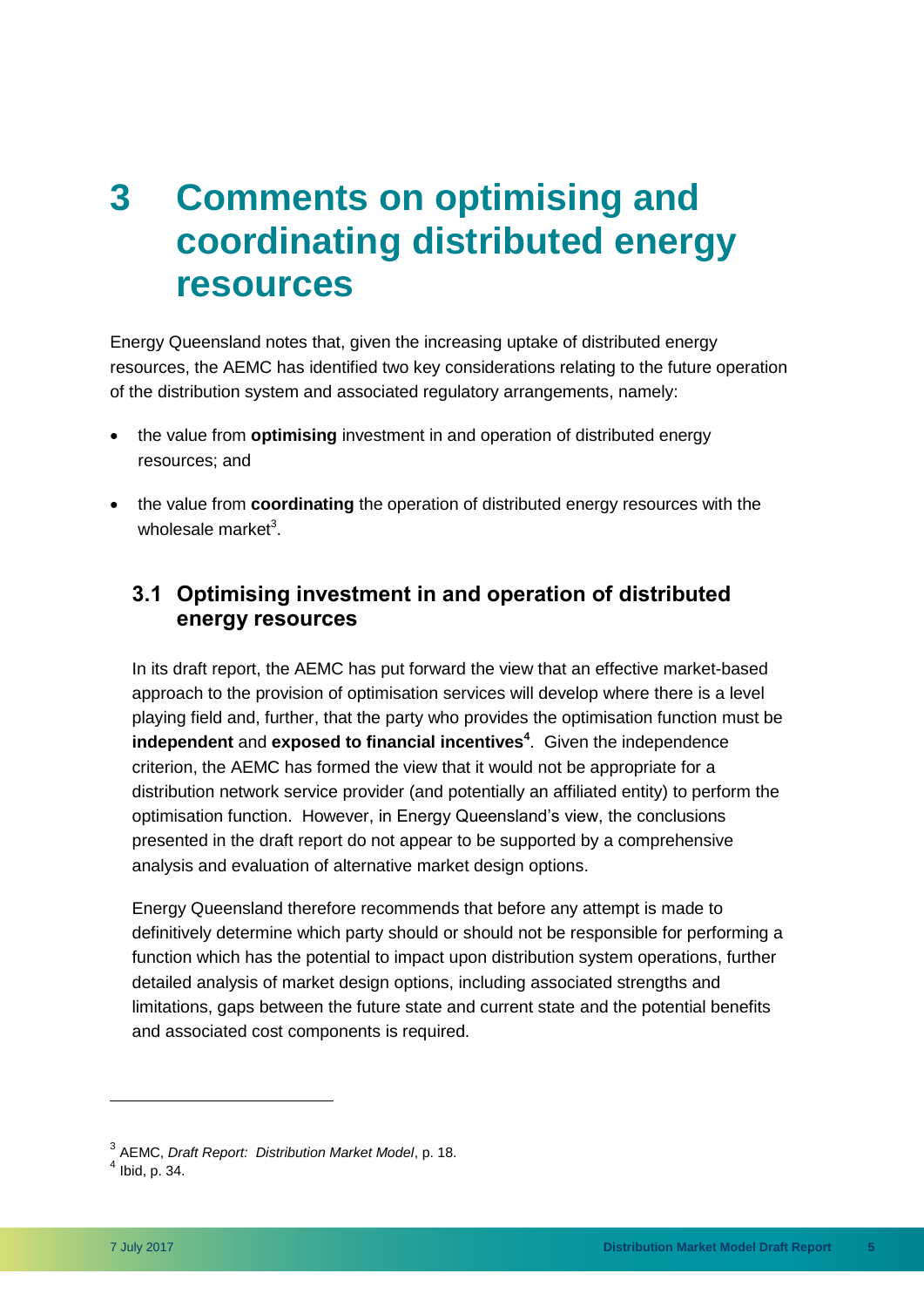### <span id="page-8-0"></span>**3 Comments on optimising and coordinating distributed energy resources**

Energy Queensland notes that, given the increasing uptake of distributed energy resources, the AEMC has identified two key considerations relating to the future operation of the distribution system and associated regulatory arrangements, namely:

- the value from **optimising** investment in and operation of distributed energy resources; and
- the value from **coordinating** the operation of distributed energy resources with the wholesale market<sup>3</sup>.

#### <span id="page-8-1"></span>**3.1 Optimising investment in and operation of distributed energy resources**

In its draft report, the AEMC has put forward the view that an effective market-based approach to the provision of optimisation services will develop where there is a level playing field and, further, that the party who provides the optimisation function must be **independent** and **exposed to financial incentives<sup>4</sup>** . Given the independence criterion, the AEMC has formed the view that it would not be appropriate for a distribution network service provider (and potentially an affiliated entity) to perform the optimisation function. However, in Energy Queensland's view, the conclusions presented in the draft report do not appear to be supported by a comprehensive analysis and evaluation of alternative market design options.

Energy Queensland therefore recommends that before any attempt is made to definitively determine which party should or should not be responsible for performing a function which has the potential to impact upon distribution system operations, further detailed analysis of market design options, including associated strengths and limitations, gaps between the future state and current state and the potential benefits and associated cost components is required.

<sup>3</sup> AEMC, *Draft Report: Distribution Market Model*, p. 18.

 $<sup>4</sup>$  Ibid, p. 34.</sup>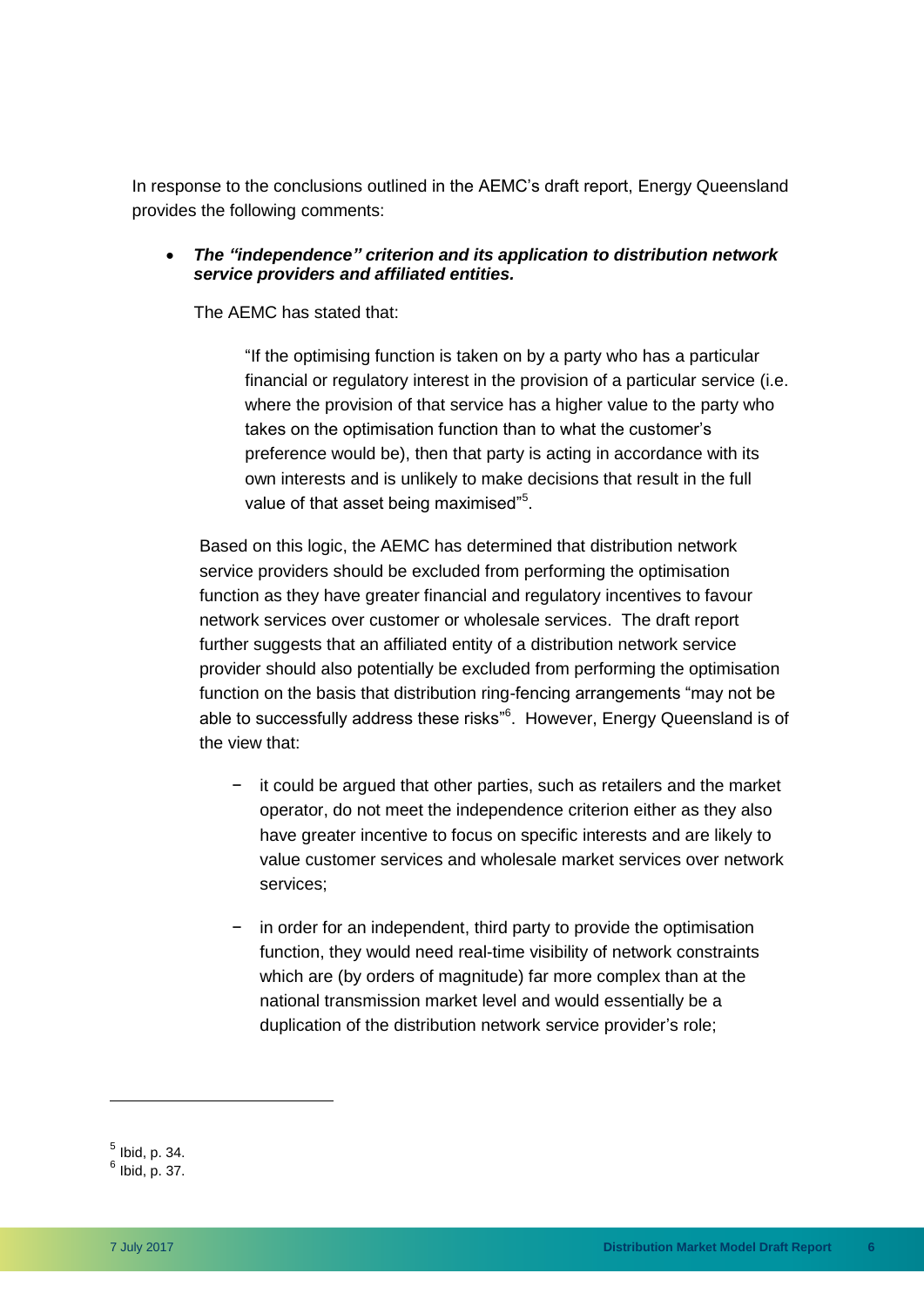In response to the conclusions outlined in the AEMC's draft report, Energy Queensland provides the following comments:

 *The "independence" criterion and its application to distribution network service providers and affiliated entities.*

The AEMC has stated that:

"If the optimising function is taken on by a party who has a particular financial or regulatory interest in the provision of a particular service (i.e. where the provision of that service has a higher value to the party who takes on the optimisation function than to what the customer's preference would be), then that party is acting in accordance with its own interests and is unlikely to make decisions that result in the full value of that asset being maximised"<sup>5</sup>.

Based on this logic, the AEMC has determined that distribution network service providers should be excluded from performing the optimisation function as they have greater financial and regulatory incentives to favour network services over customer or wholesale services. The draft report further suggests that an affiliated entity of a distribution network service provider should also potentially be excluded from performing the optimisation function on the basis that distribution ring-fencing arrangements "may not be able to successfully address these risks<sup>"6</sup>. However, Energy Queensland is of the view that:

- it could be argued that other parties, such as retailers and the market operator, do not meet the independence criterion either as they also have greater incentive to focus on specific interests and are likely to value customer services and wholesale market services over network services;
- − in order for an independent, third party to provide the optimisation function, they would need real-time visibility of network constraints which are (by orders of magnitude) far more complex than at the national transmission market level and would essentially be a duplication of the distribution network service provider's role;

 $^5$  Ibid, p. 34.

 $6$  Ibid, p. 37.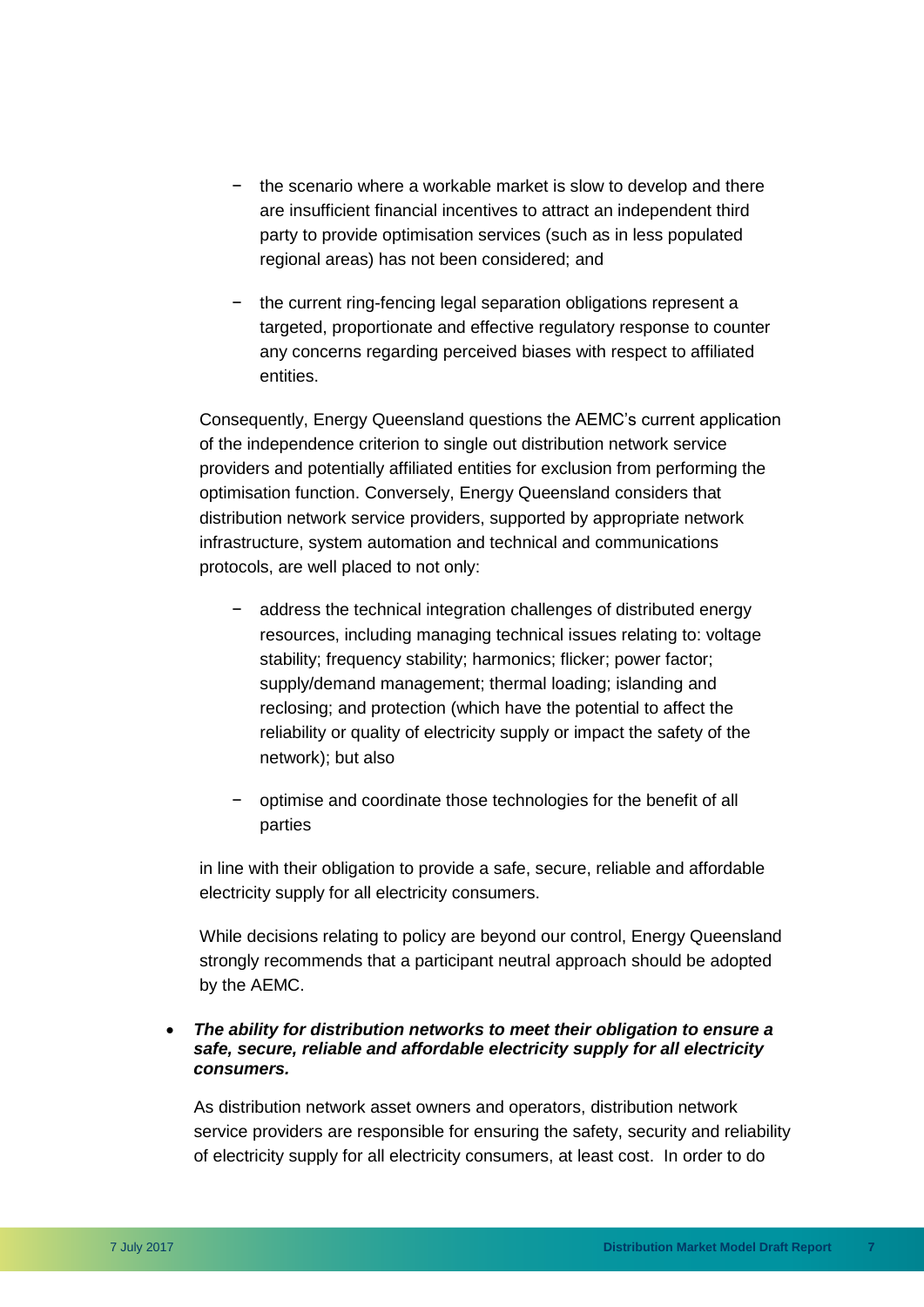- − the scenario where a workable market is slow to develop and there are insufficient financial incentives to attract an independent third party to provide optimisation services (such as in less populated regional areas) has not been considered; and
- − the current ring-fencing legal separation obligations represent a targeted, proportionate and effective regulatory response to counter any concerns regarding perceived biases with respect to affiliated entities.

Consequently, Energy Queensland questions the AEMC's current application of the independence criterion to single out distribution network service providers and potentially affiliated entities for exclusion from performing the optimisation function. Conversely, Energy Queensland considers that distribution network service providers, supported by appropriate network infrastructure, system automation and technical and communications protocols, are well placed to not only:

- address the technical integration challenges of distributed energy resources, including managing technical issues relating to: voltage stability; frequency stability; harmonics; flicker; power factor; supply/demand management; thermal loading; islanding and reclosing; and protection (which have the potential to affect the reliability or quality of electricity supply or impact the safety of the network); but also
- − optimise and coordinate those technologies for the benefit of all parties

in line with their obligation to provide a safe, secure, reliable and affordable electricity supply for all electricity consumers.

While decisions relating to policy are beyond our control, Energy Queensland strongly recommends that a participant neutral approach should be adopted by the AEMC.

 *The ability for distribution networks to meet their obligation to ensure a safe, secure, reliable and affordable electricity supply for all electricity consumers.* 

As distribution network asset owners and operators, distribution network service providers are responsible for ensuring the safety, security and reliability of electricity supply for all electricity consumers, at least cost. In order to do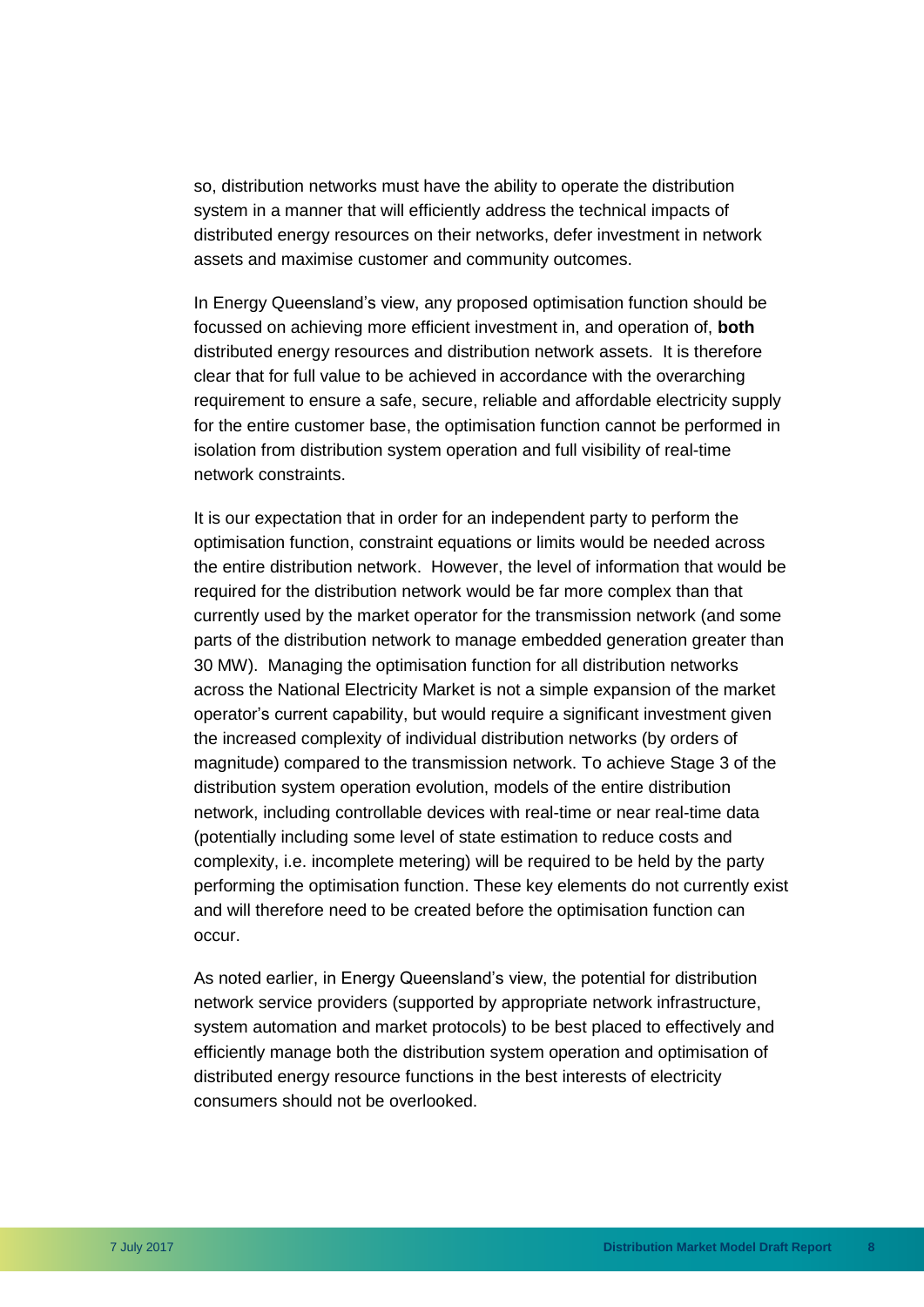so, distribution networks must have the ability to operate the distribution system in a manner that will efficiently address the technical impacts of distributed energy resources on their networks, defer investment in network assets and maximise customer and community outcomes.

In Energy Queensland's view, any proposed optimisation function should be focussed on achieving more efficient investment in, and operation of, **both** distributed energy resources and distribution network assets. It is therefore clear that for full value to be achieved in accordance with the overarching requirement to ensure a safe, secure, reliable and affordable electricity supply for the entire customer base, the optimisation function cannot be performed in isolation from distribution system operation and full visibility of real-time network constraints.

It is our expectation that in order for an independent party to perform the optimisation function, constraint equations or limits would be needed across the entire distribution network. However, the level of information that would be required for the distribution network would be far more complex than that currently used by the market operator for the transmission network (and some parts of the distribution network to manage embedded generation greater than 30 MW). Managing the optimisation function for all distribution networks across the National Electricity Market is not a simple expansion of the market operator's current capability, but would require a significant investment given the increased complexity of individual distribution networks (by orders of magnitude) compared to the transmission network. To achieve Stage 3 of the distribution system operation evolution, models of the entire distribution network, including controllable devices with real-time or near real-time data (potentially including some level of state estimation to reduce costs and complexity, i.e. incomplete metering) will be required to be held by the party performing the optimisation function. These key elements do not currently exist and will therefore need to be created before the optimisation function can occur.

As noted earlier, in Energy Queensland's view, the potential for distribution network service providers (supported by appropriate network infrastructure, system automation and market protocols) to be best placed to effectively and efficiently manage both the distribution system operation and optimisation of distributed energy resource functions in the best interests of electricity consumers should not be overlooked.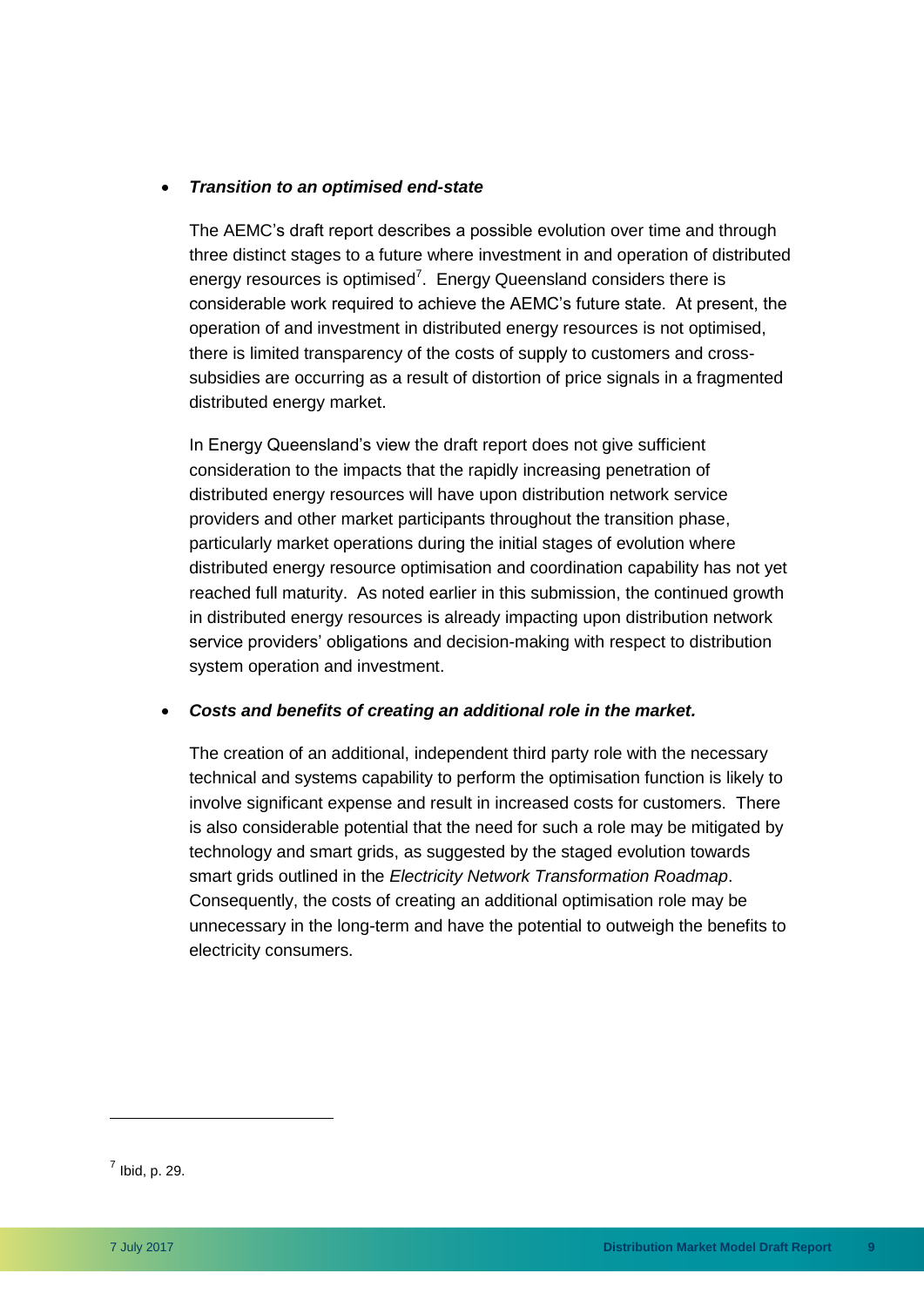#### *Transition to an optimised end-state*

The AEMC's draft report describes a possible evolution over time and through three distinct stages to a future where investment in and operation of distributed energy resources is optimised<sup>7</sup>. Energy Queensland considers there is considerable work required to achieve the AEMC's future state. At present, the operation of and investment in distributed energy resources is not optimised, there is limited transparency of the costs of supply to customers and crosssubsidies are occurring as a result of distortion of price signals in a fragmented distributed energy market.

In Energy Queensland's view the draft report does not give sufficient consideration to the impacts that the rapidly increasing penetration of distributed energy resources will have upon distribution network service providers and other market participants throughout the transition phase, particularly market operations during the initial stages of evolution where distributed energy resource optimisation and coordination capability has not yet reached full maturity. As noted earlier in this submission, the continued growth in distributed energy resources is already impacting upon distribution network service providers' obligations and decision-making with respect to distribution system operation and investment.

#### *Costs and benefits of creating an additional role in the market.*

The creation of an additional, independent third party role with the necessary technical and systems capability to perform the optimisation function is likely to involve significant expense and result in increased costs for customers. There is also considerable potential that the need for such a role may be mitigated by technology and smart grids, as suggested by the staged evolution towards smart grids outlined in the *Electricity Network Transformation Roadmap*. Consequently, the costs of creating an additional optimisation role may be unnecessary in the long-term and have the potential to outweigh the benefits to electricity consumers.

 $<sup>7</sup>$  Ibid, p. 29.</sup>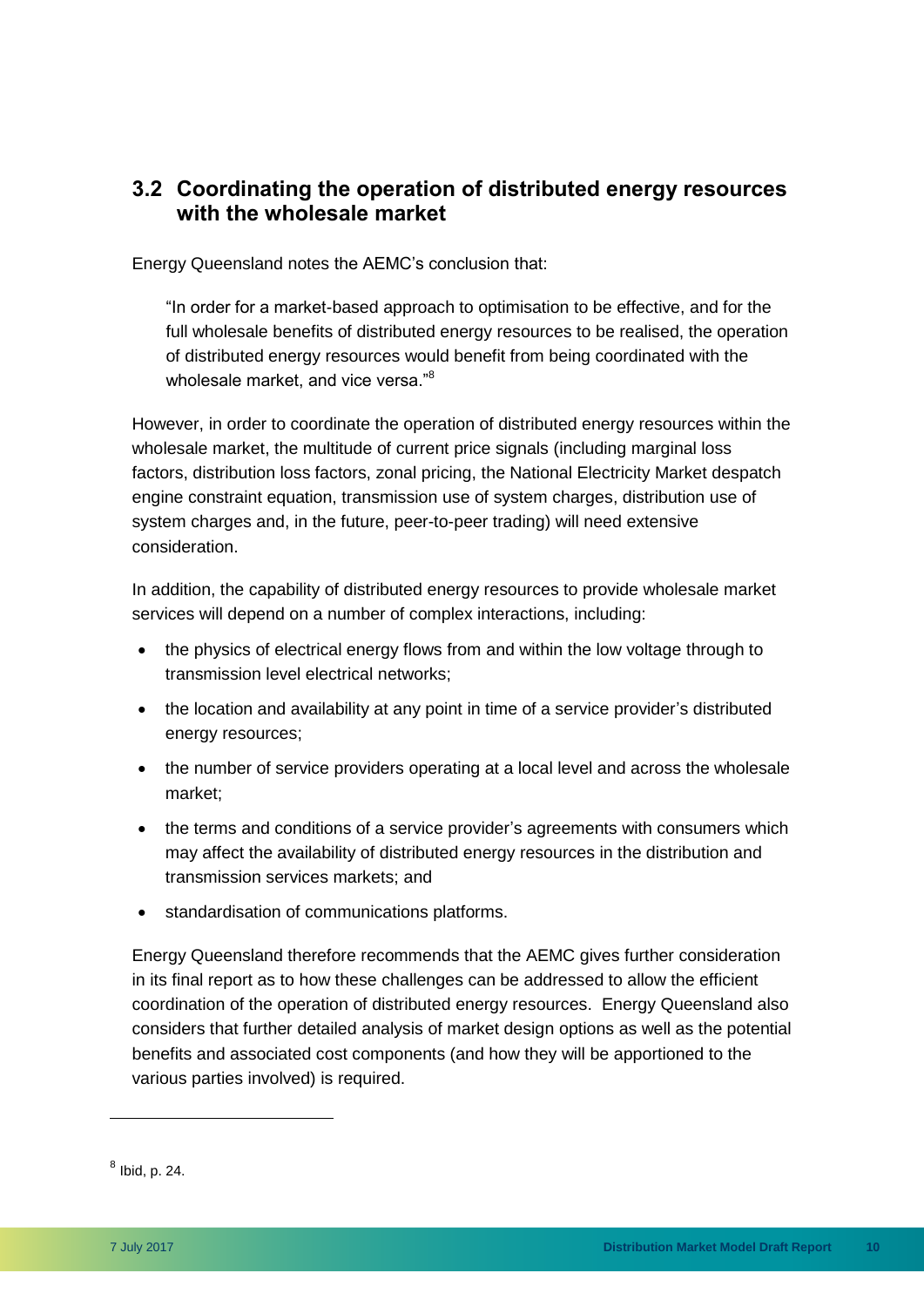### <span id="page-13-0"></span>**3.2 Coordinating the operation of distributed energy resources with the wholesale market**

Energy Queensland notes the AEMC's conclusion that:

"In order for a market-based approach to optimisation to be effective, and for the full wholesale benefits of distributed energy resources to be realised, the operation of distributed energy resources would benefit from being coordinated with the wholesale market, and vice versa."<sup>8</sup>

However, in order to coordinate the operation of distributed energy resources within the wholesale market, the multitude of current price signals (including marginal loss factors, distribution loss factors, zonal pricing, the National Electricity Market despatch engine constraint equation, transmission use of system charges, distribution use of system charges and, in the future, peer-to-peer trading) will need extensive consideration.

In addition, the capability of distributed energy resources to provide wholesale market services will depend on a number of complex interactions, including:

- the physics of electrical energy flows from and within the low voltage through to transmission level electrical networks;
- the location and availability at any point in time of a service provider's distributed energy resources;
- the number of service providers operating at a local level and across the wholesale market;
- the terms and conditions of a service provider's agreements with consumers which may affect the availability of distributed energy resources in the distribution and transmission services markets; and
- standardisation of communications platforms.

Energy Queensland therefore recommends that the AEMC gives further consideration in its final report as to how these challenges can be addressed to allow the efficient coordination of the operation of distributed energy resources. Energy Queensland also considers that further detailed analysis of market design options as well as the potential benefits and associated cost components (and how they will be apportioned to the various parties involved) is required.

 $<sup>8</sup>$  Ibid, p. 24.</sup>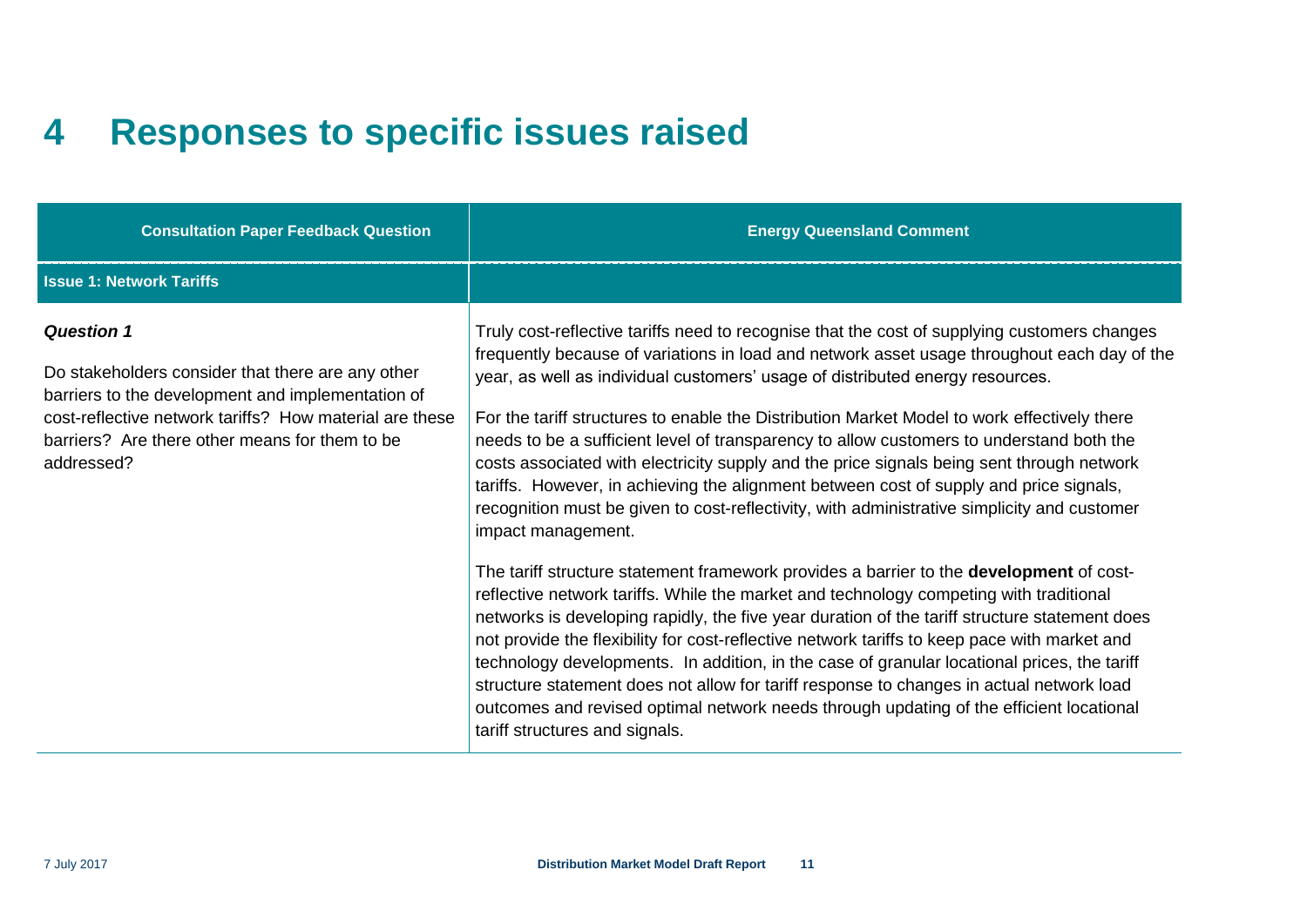### **4 Responses to specific issues raised**

<span id="page-14-0"></span>

| <b>Consultation Paper Feedback Question</b>                                                                                                                                                                                                            | <b>Energy Queensland Comment</b>                                                                                                                                                                                                                                                                                                                                                                                                                                                                                                                                                                                                                                                                                                                                                                                                                                                                                                                                                                                                                                                                                                                                                                                                                                                                                                                                                                                                                                                                         |
|--------------------------------------------------------------------------------------------------------------------------------------------------------------------------------------------------------------------------------------------------------|----------------------------------------------------------------------------------------------------------------------------------------------------------------------------------------------------------------------------------------------------------------------------------------------------------------------------------------------------------------------------------------------------------------------------------------------------------------------------------------------------------------------------------------------------------------------------------------------------------------------------------------------------------------------------------------------------------------------------------------------------------------------------------------------------------------------------------------------------------------------------------------------------------------------------------------------------------------------------------------------------------------------------------------------------------------------------------------------------------------------------------------------------------------------------------------------------------------------------------------------------------------------------------------------------------------------------------------------------------------------------------------------------------------------------------------------------------------------------------------------------------|
| <b>Issue 1: Network Tariffs</b>                                                                                                                                                                                                                        |                                                                                                                                                                                                                                                                                                                                                                                                                                                                                                                                                                                                                                                                                                                                                                                                                                                                                                                                                                                                                                                                                                                                                                                                                                                                                                                                                                                                                                                                                                          |
| <b>Question 1</b><br>Do stakeholders consider that there are any other<br>barriers to the development and implementation of<br>cost-reflective network tariffs? How material are these<br>barriers? Are there other means for them to be<br>addressed? | Truly cost-reflective tariffs need to recognise that the cost of supplying customers changes<br>frequently because of variations in load and network asset usage throughout each day of the<br>year, as well as individual customers' usage of distributed energy resources.<br>For the tariff structures to enable the Distribution Market Model to work effectively there<br>needs to be a sufficient level of transparency to allow customers to understand both the<br>costs associated with electricity supply and the price signals being sent through network<br>tariffs. However, in achieving the alignment between cost of supply and price signals,<br>recognition must be given to cost-reflectivity, with administrative simplicity and customer<br>impact management.<br>The tariff structure statement framework provides a barrier to the <b>development</b> of cost-<br>reflective network tariffs. While the market and technology competing with traditional<br>networks is developing rapidly, the five year duration of the tariff structure statement does<br>not provide the flexibility for cost-reflective network tariffs to keep pace with market and<br>technology developments. In addition, in the case of granular locational prices, the tariff<br>structure statement does not allow for tariff response to changes in actual network load<br>outcomes and revised optimal network needs through updating of the efficient locational<br>tariff structures and signals. |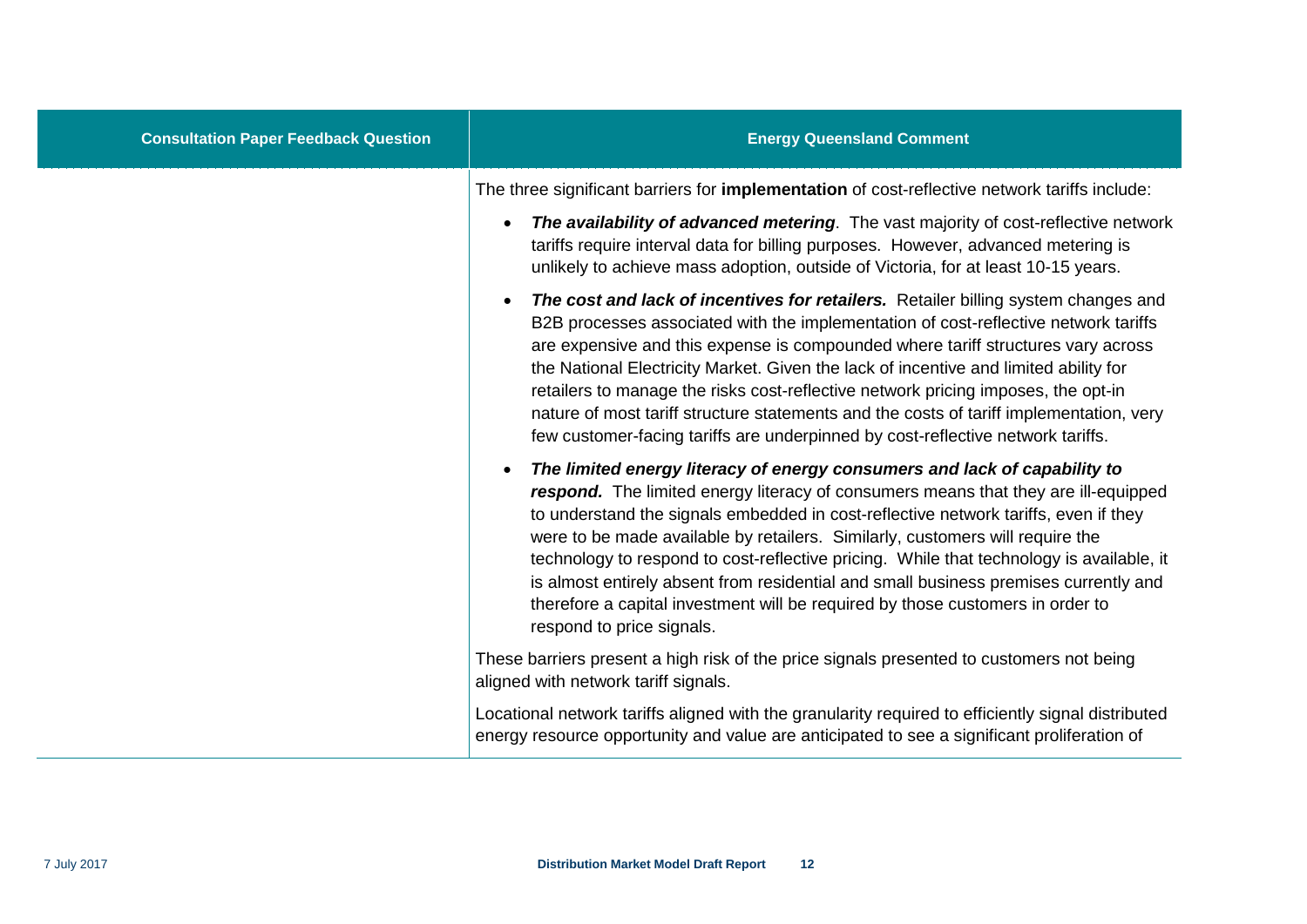| <b>Consultation Paper Feedback Question</b> | <b>Energy Queensland Comment</b>                                                                                                                                                                                                                                                                                                                                                                                                                                                                                                                                                                                                                        |
|---------------------------------------------|---------------------------------------------------------------------------------------------------------------------------------------------------------------------------------------------------------------------------------------------------------------------------------------------------------------------------------------------------------------------------------------------------------------------------------------------------------------------------------------------------------------------------------------------------------------------------------------------------------------------------------------------------------|
|                                             | The three significant barriers for implementation of cost-reflective network tariffs include:<br>The availability of advanced metering. The vast majority of cost-reflective network<br>tariffs require interval data for billing purposes. However, advanced metering is<br>unlikely to achieve mass adoption, outside of Victoria, for at least 10-15 years.                                                                                                                                                                                                                                                                                          |
|                                             | The cost and lack of incentives for retailers. Retailer billing system changes and<br>B2B processes associated with the implementation of cost-reflective network tariffs<br>are expensive and this expense is compounded where tariff structures vary across<br>the National Electricity Market. Given the lack of incentive and limited ability for<br>retailers to manage the risks cost-reflective network pricing imposes, the opt-in<br>nature of most tariff structure statements and the costs of tariff implementation, very<br>few customer-facing tariffs are underpinned by cost-reflective network tariffs.                                |
|                                             | The limited energy literacy of energy consumers and lack of capability to<br>$\bullet$<br>respond. The limited energy literacy of consumers means that they are ill-equipped<br>to understand the signals embedded in cost-reflective network tariffs, even if they<br>were to be made available by retailers. Similarly, customers will require the<br>technology to respond to cost-reflective pricing. While that technology is available, it<br>is almost entirely absent from residential and small business premises currently and<br>therefore a capital investment will be required by those customers in order to<br>respond to price signals. |
|                                             | These barriers present a high risk of the price signals presented to customers not being<br>aligned with network tariff signals.                                                                                                                                                                                                                                                                                                                                                                                                                                                                                                                        |
|                                             | Locational network tariffs aligned with the granularity required to efficiently signal distributed<br>energy resource opportunity and value are anticipated to see a significant proliferation of                                                                                                                                                                                                                                                                                                                                                                                                                                                       |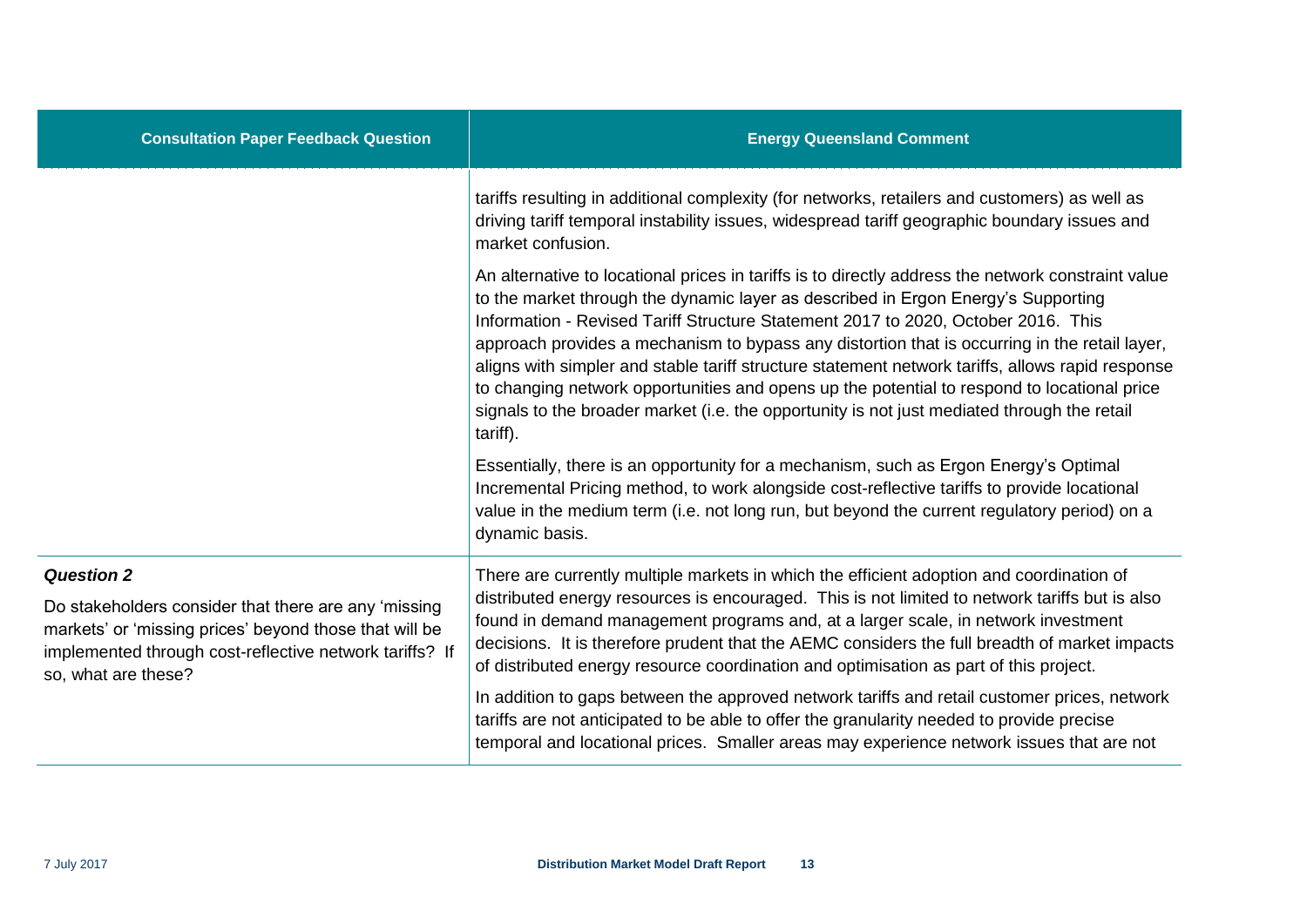| <b>Consultation Paper Feedback Question</b>                                                                                                                                                      | <b>Energy Queensland Comment</b>                                                                                                                                                                                                                                                                                                                                                                                                                                                                                                                                                                                                                                                            |  |
|--------------------------------------------------------------------------------------------------------------------------------------------------------------------------------------------------|---------------------------------------------------------------------------------------------------------------------------------------------------------------------------------------------------------------------------------------------------------------------------------------------------------------------------------------------------------------------------------------------------------------------------------------------------------------------------------------------------------------------------------------------------------------------------------------------------------------------------------------------------------------------------------------------|--|
|                                                                                                                                                                                                  | tariffs resulting in additional complexity (for networks, retailers and customers) as well as<br>driving tariff temporal instability issues, widespread tariff geographic boundary issues and<br>market confusion.                                                                                                                                                                                                                                                                                                                                                                                                                                                                          |  |
|                                                                                                                                                                                                  | An alternative to locational prices in tariffs is to directly address the network constraint value<br>to the market through the dynamic layer as described in Ergon Energy's Supporting<br>Information - Revised Tariff Structure Statement 2017 to 2020, October 2016. This<br>approach provides a mechanism to bypass any distortion that is occurring in the retail layer,<br>aligns with simpler and stable tariff structure statement network tariffs, allows rapid response<br>to changing network opportunities and opens up the potential to respond to locational price<br>signals to the broader market (i.e. the opportunity is not just mediated through the retail<br>tariff). |  |
|                                                                                                                                                                                                  | Essentially, there is an opportunity for a mechanism, such as Ergon Energy's Optimal<br>Incremental Pricing method, to work alongside cost-reflective tariffs to provide locational<br>value in the medium term (i.e. not long run, but beyond the current regulatory period) on a<br>dynamic basis.                                                                                                                                                                                                                                                                                                                                                                                        |  |
| <b>Question 2</b>                                                                                                                                                                                | There are currently multiple markets in which the efficient adoption and coordination of                                                                                                                                                                                                                                                                                                                                                                                                                                                                                                                                                                                                    |  |
| Do stakeholders consider that there are any 'missing<br>markets' or 'missing prices' beyond those that will be<br>implemented through cost-reflective network tariffs? If<br>so, what are these? | distributed energy resources is encouraged. This is not limited to network tariffs but is also<br>found in demand management programs and, at a larger scale, in network investment<br>decisions. It is therefore prudent that the AEMC considers the full breadth of market impacts<br>of distributed energy resource coordination and optimisation as part of this project.                                                                                                                                                                                                                                                                                                               |  |
|                                                                                                                                                                                                  | In addition to gaps between the approved network tariffs and retail customer prices, network<br>tariffs are not anticipated to be able to offer the granularity needed to provide precise<br>temporal and locational prices. Smaller areas may experience network issues that are not                                                                                                                                                                                                                                                                                                                                                                                                       |  |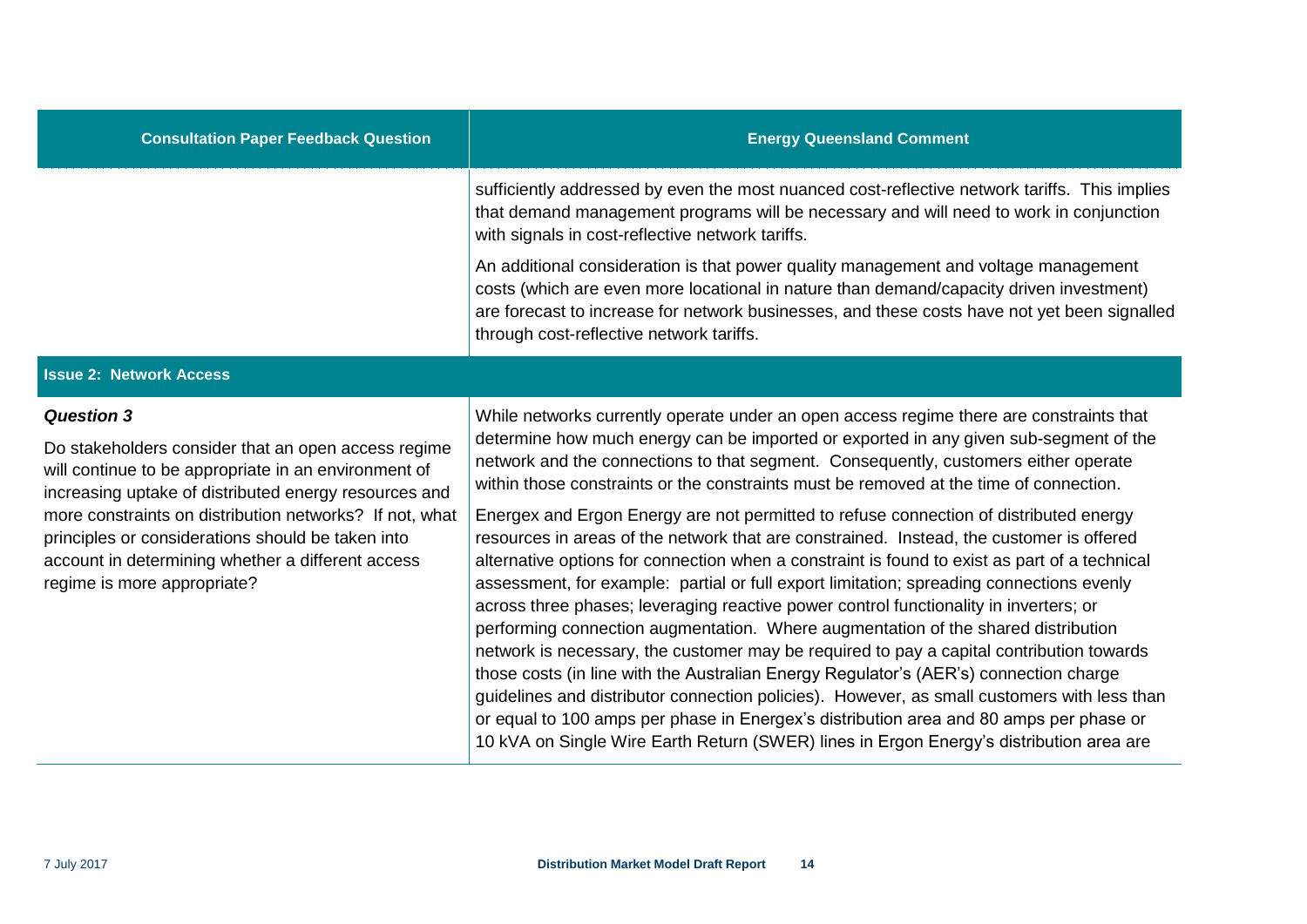| <b>Consultation Paper Feedback Question</b>                                                                                                                                                                                                                                                                                                                                                   | <b>Energy Queensland Comment</b>                                                                                                                                                                                                                                                                                                                                                                                                                                                                                                                                                                                                                                                                                                                                                                                                                                                                                                                                                                                                                                                                                                                                                                                                                                                                                                                                                                           |
|-----------------------------------------------------------------------------------------------------------------------------------------------------------------------------------------------------------------------------------------------------------------------------------------------------------------------------------------------------------------------------------------------|------------------------------------------------------------------------------------------------------------------------------------------------------------------------------------------------------------------------------------------------------------------------------------------------------------------------------------------------------------------------------------------------------------------------------------------------------------------------------------------------------------------------------------------------------------------------------------------------------------------------------------------------------------------------------------------------------------------------------------------------------------------------------------------------------------------------------------------------------------------------------------------------------------------------------------------------------------------------------------------------------------------------------------------------------------------------------------------------------------------------------------------------------------------------------------------------------------------------------------------------------------------------------------------------------------------------------------------------------------------------------------------------------------|
|                                                                                                                                                                                                                                                                                                                                                                                               | sufficiently addressed by even the most nuanced cost-reflective network tariffs. This implies<br>that demand management programs will be necessary and will need to work in conjunction<br>with signals in cost-reflective network tariffs.                                                                                                                                                                                                                                                                                                                                                                                                                                                                                                                                                                                                                                                                                                                                                                                                                                                                                                                                                                                                                                                                                                                                                                |
|                                                                                                                                                                                                                                                                                                                                                                                               | An additional consideration is that power quality management and voltage management<br>costs (which are even more locational in nature than demand/capacity driven investment)<br>are forecast to increase for network businesses, and these costs have not yet been signalled<br>through cost-reflective network tariffs.                                                                                                                                                                                                                                                                                                                                                                                                                                                                                                                                                                                                                                                                                                                                                                                                                                                                                                                                                                                                                                                                                 |
| <b>Issue 2: Network Access</b>                                                                                                                                                                                                                                                                                                                                                                |                                                                                                                                                                                                                                                                                                                                                                                                                                                                                                                                                                                                                                                                                                                                                                                                                                                                                                                                                                                                                                                                                                                                                                                                                                                                                                                                                                                                            |
| <b>Question 3</b><br>Do stakeholders consider that an open access regime<br>will continue to be appropriate in an environment of<br>increasing uptake of distributed energy resources and<br>more constraints on distribution networks? If not, what<br>principles or considerations should be taken into<br>account in determining whether a different access<br>regime is more appropriate? | While networks currently operate under an open access regime there are constraints that<br>determine how much energy can be imported or exported in any given sub-segment of the<br>network and the connections to that segment. Consequently, customers either operate<br>within those constraints or the constraints must be removed at the time of connection.<br>Energex and Ergon Energy are not permitted to refuse connection of distributed energy<br>resources in areas of the network that are constrained. Instead, the customer is offered<br>alternative options for connection when a constraint is found to exist as part of a technical<br>assessment, for example: partial or full export limitation; spreading connections evenly<br>across three phases; leveraging reactive power control functionality in inverters; or<br>performing connection augmentation. Where augmentation of the shared distribution<br>network is necessary, the customer may be required to pay a capital contribution towards<br>those costs (in line with the Australian Energy Regulator's (AER's) connection charge<br>guidelines and distributor connection policies). However, as small customers with less than<br>or equal to 100 amps per phase in Energex's distribution area and 80 amps per phase or<br>10 kVA on Single Wire Earth Return (SWER) lines in Ergon Energy's distribution area are |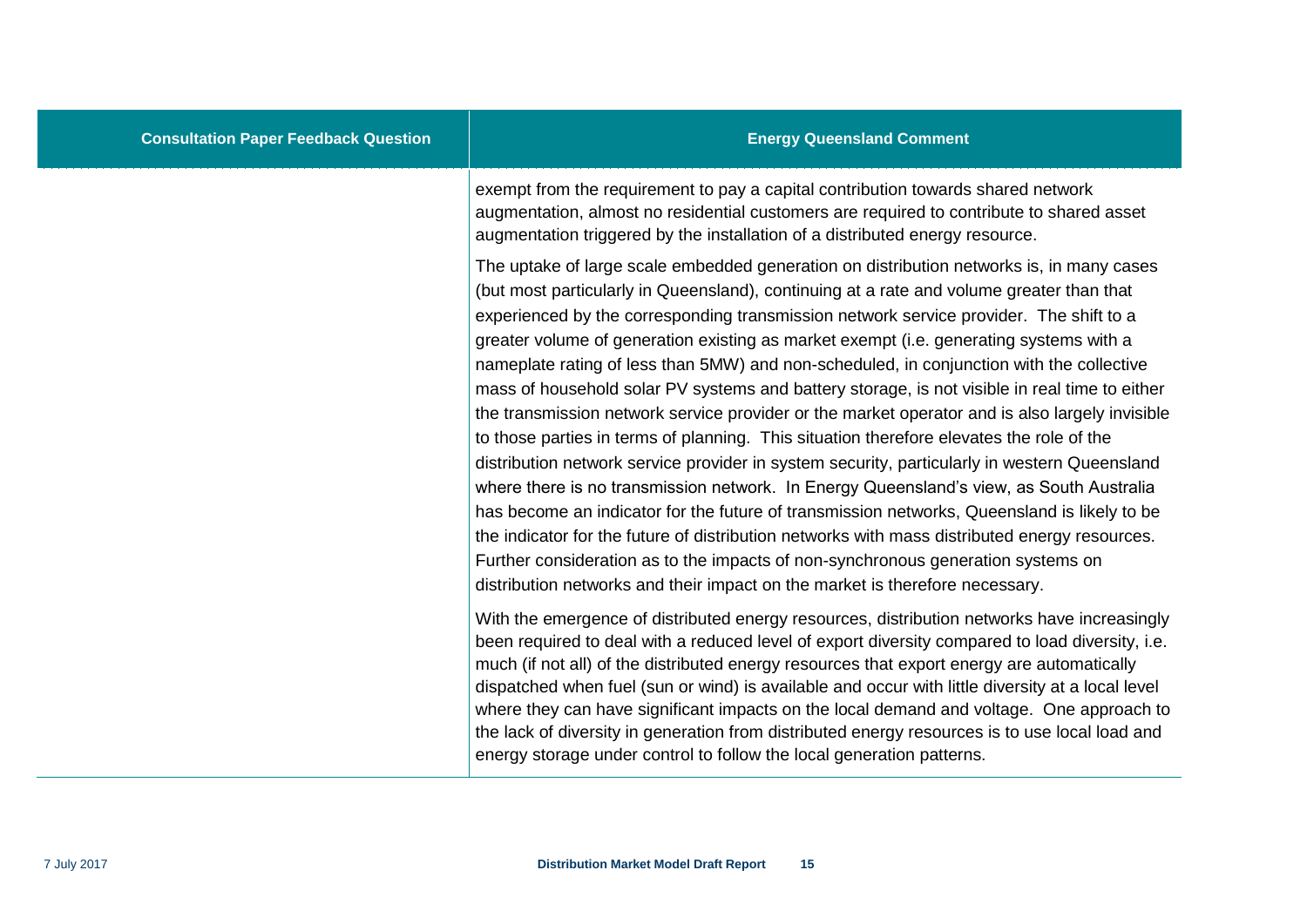exempt from the requirement to pay a capital contribution towards shared network augmentation, almost no residential customers are required to contribute to shared asset augmentation triggered by the installation of a distributed energy resource.

The uptake of large scale embedded generation on distribution networks is, in many cases (but most particularly in Queensland), continuing at a rate and volume greater than that experienced by the corresponding transmission network service provider. The shift to a greater volume of generation existing as market exempt (i.e. generating systems with a nameplate rating of less than 5MW) and non-scheduled, in conjunction with the collective mass of household solar PV systems and battery storage, is not visible in real time to either the transmission network service provider or the market operator and is also largely invisible to those parties in terms of planning. This situation therefore elevates the role of the distribution network service provider in system security, particularly in western Queensland where there is no transmission network. In Energy Queensland's view, as South Australia has become an indicator for the future of transmission networks, Queensland is likely to be the indicator for the future of distribution networks with mass distributed energy resources. Further consideration as to the impacts of non-synchronous generation systems on distribution networks and their impact on the market is therefore necessary.

With the emergence of distributed energy resources, distribution networks have increasingly been required to deal with a reduced level of export diversity compared to load diversity, i.e. much (if not all) of the distributed energy resources that export energy are automatically dispatched when fuel (sun or wind) is available and occur with little diversity at a local level where they can have significant impacts on the local demand and voltage. One approach to the lack of diversity in generation from distributed energy resources is to use local load and energy storage under control to follow the local generation patterns.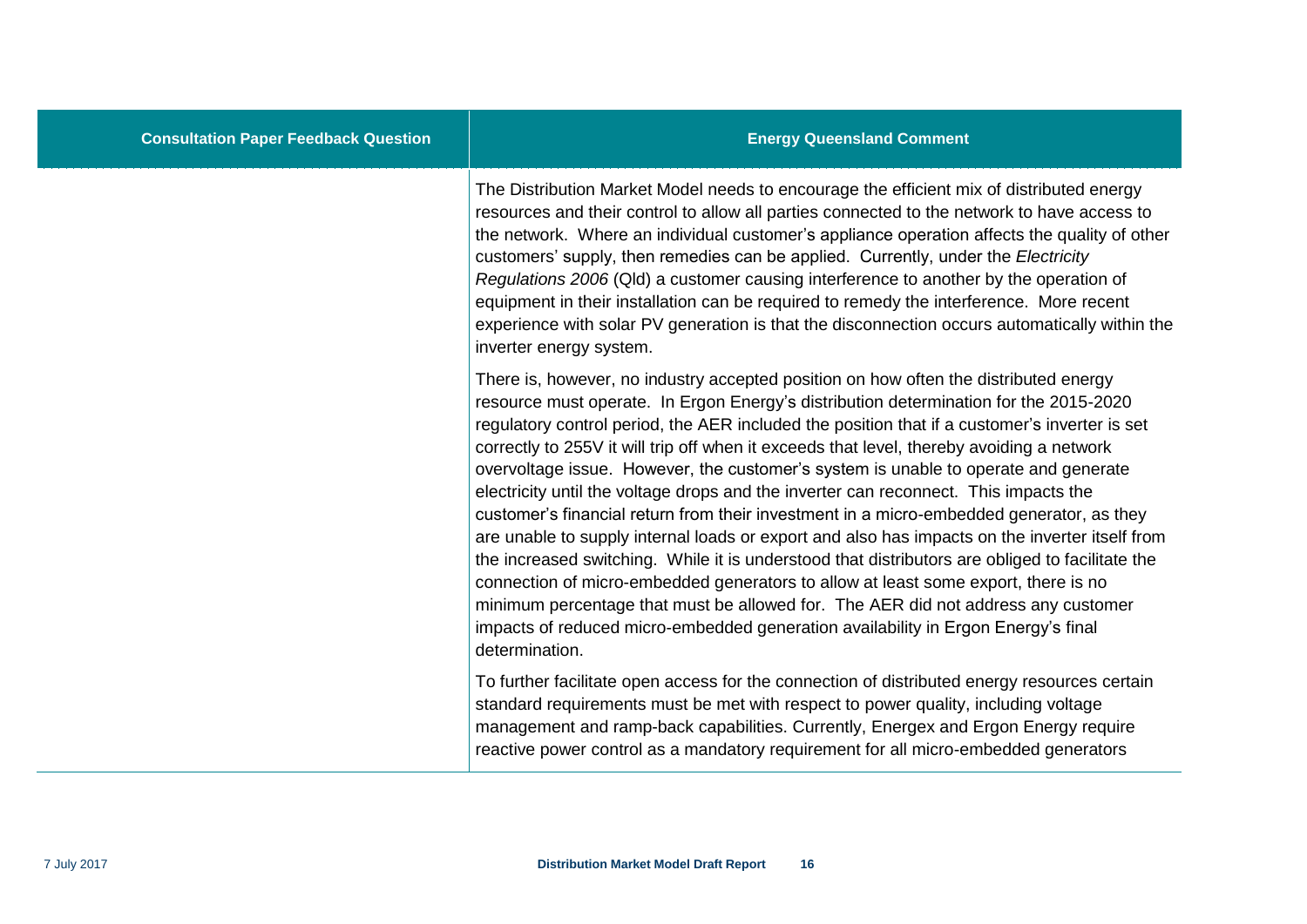The Distribution Market Model needs to encourage the efficient mix of distributed energy resources and their control to allow all parties connected to the network to have access to the network. Where an individual customer's appliance operation affects the quality of other customers' supply, then remedies can be applied. Currently, under the *Electricity Regulations 2006* (Qld) a customer causing interference to another by the operation of equipment in their installation can be required to remedy the interference. More recent experience with solar PV generation is that the disconnection occurs automatically within the inverter energy system.

There is, however, no industry accepted position on how often the distributed energy resource must operate. In Ergon Energy's distribution determination for the 2015-2020 regulatory control period, the AER included the position that if a customer's inverter is set correctly to 255V it will trip off when it exceeds that level, thereby avoiding a network overvoltage issue. However, the customer's system is unable to operate and generate electricity until the voltage drops and the inverter can reconnect. This impacts the customer's financial return from their investment in a micro-embedded generator, as they are unable to supply internal loads or export and also has impacts on the inverter itself from the increased switching. While it is understood that distributors are obliged to facilitate the connection of micro-embedded generators to allow at least some export, there is no minimum percentage that must be allowed for. The AER did not address any customer impacts of reduced micro-embedded generation availability in Ergon Energy's final determination.

To further facilitate open access for the connection of distributed energy resources certain standard requirements must be met with respect to power quality, including voltage management and ramp-back capabilities. Currently, Energex and Ergon Energy require reactive power control as a mandatory requirement for all micro-embedded generators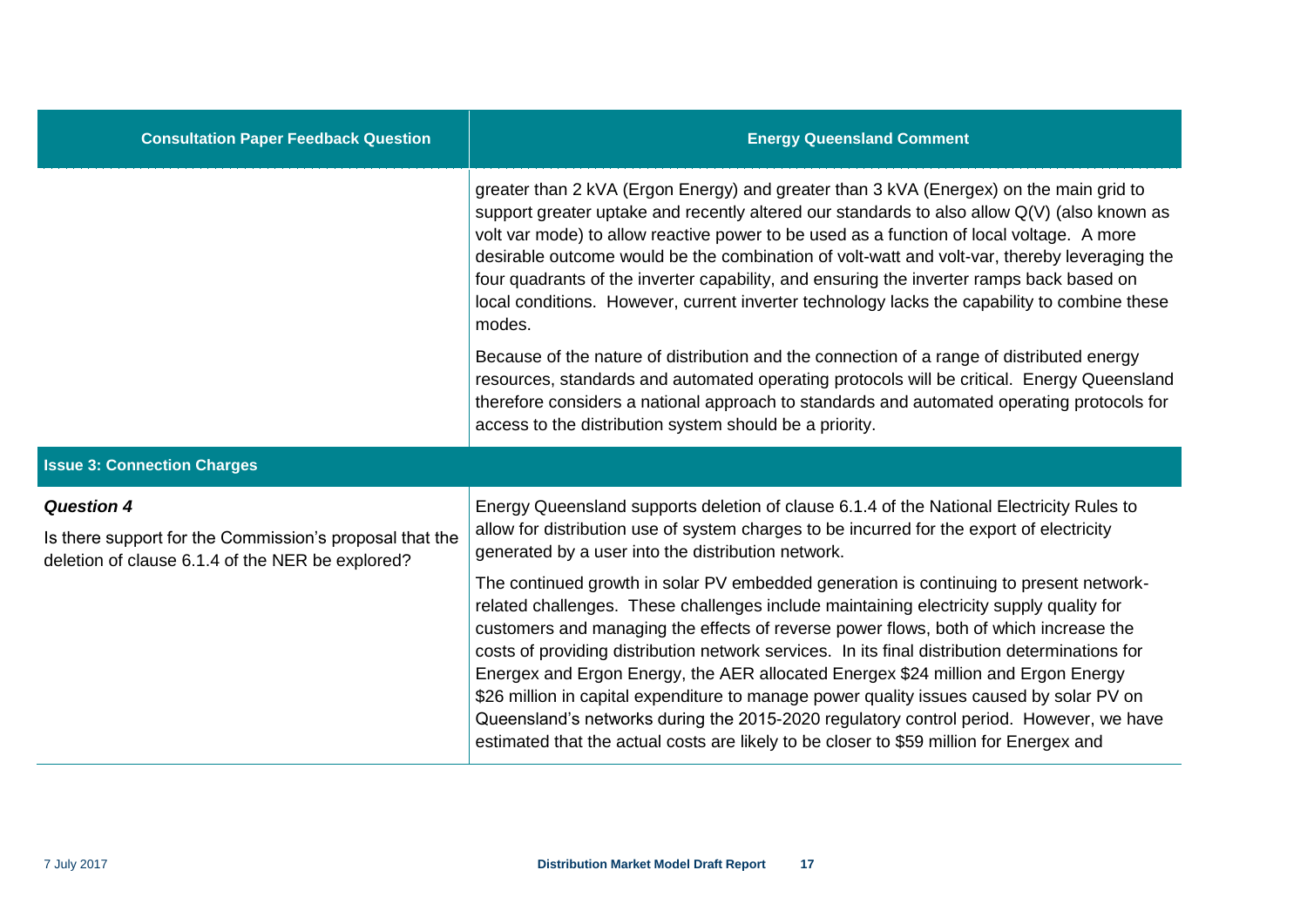| <b>Consultation Paper Feedback Question</b>                                                                 | <b>Energy Queensland Comment</b>                                                                                                                                                                                                                                                                                                                                                                                                                                                                                                                                                                                                                                                                                                                   |
|-------------------------------------------------------------------------------------------------------------|----------------------------------------------------------------------------------------------------------------------------------------------------------------------------------------------------------------------------------------------------------------------------------------------------------------------------------------------------------------------------------------------------------------------------------------------------------------------------------------------------------------------------------------------------------------------------------------------------------------------------------------------------------------------------------------------------------------------------------------------------|
|                                                                                                             | greater than 2 kVA (Ergon Energy) and greater than 3 kVA (Energex) on the main grid to<br>support greater uptake and recently altered our standards to also allow Q(V) (also known as<br>volt var mode) to allow reactive power to be used as a function of local voltage. A more<br>desirable outcome would be the combination of volt-watt and volt-var, thereby leveraging the<br>four quadrants of the inverter capability, and ensuring the inverter ramps back based on<br>local conditions. However, current inverter technology lacks the capability to combine these<br>modes.                                                                                                                                                            |
|                                                                                                             | Because of the nature of distribution and the connection of a range of distributed energy<br>resources, standards and automated operating protocols will be critical. Energy Queensland<br>therefore considers a national approach to standards and automated operating protocols for<br>access to the distribution system should be a priority.                                                                                                                                                                                                                                                                                                                                                                                                   |
| <b>Issue 3: Connection Charges</b>                                                                          |                                                                                                                                                                                                                                                                                                                                                                                                                                                                                                                                                                                                                                                                                                                                                    |
| <b>Question 4</b>                                                                                           | Energy Queensland supports deletion of clause 6.1.4 of the National Electricity Rules to<br>allow for distribution use of system charges to be incurred for the export of electricity<br>generated by a user into the distribution network.                                                                                                                                                                                                                                                                                                                                                                                                                                                                                                        |
| Is there support for the Commission's proposal that the<br>deletion of clause 6.1.4 of the NER be explored? |                                                                                                                                                                                                                                                                                                                                                                                                                                                                                                                                                                                                                                                                                                                                                    |
|                                                                                                             | The continued growth in solar PV embedded generation is continuing to present network-<br>related challenges. These challenges include maintaining electricity supply quality for<br>customers and managing the effects of reverse power flows, both of which increase the<br>costs of providing distribution network services. In its final distribution determinations for<br>Energex and Ergon Energy, the AER allocated Energex \$24 million and Ergon Energy<br>\$26 million in capital expenditure to manage power quality issues caused by solar PV on<br>Queensland's networks during the 2015-2020 regulatory control period. However, we have<br>estimated that the actual costs are likely to be closer to \$59 million for Energex and |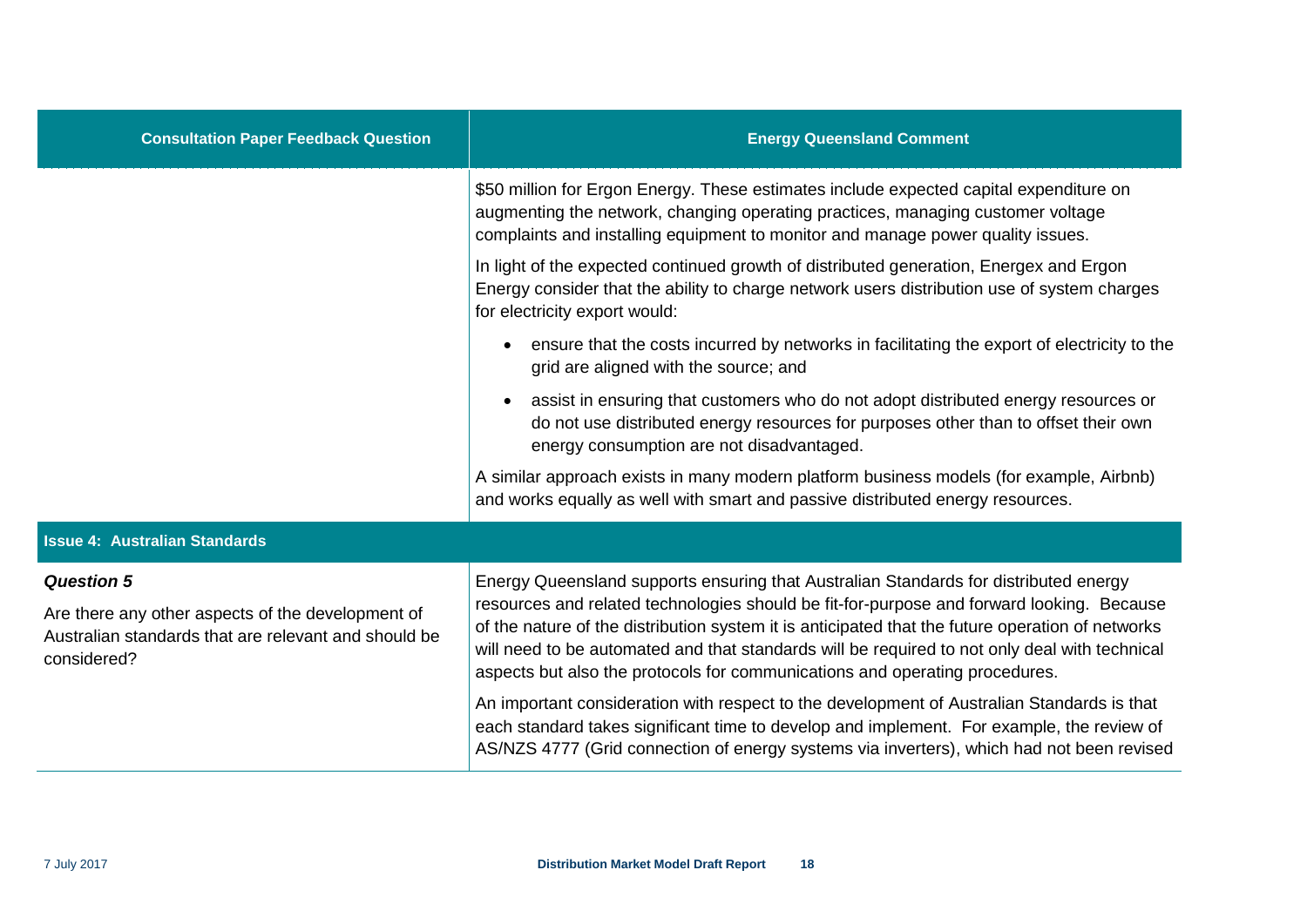| <b>Consultation Paper Feedback Question</b>                                                                                                   | <b>Energy Queensland Comment</b>                                                                                                                                                                                                                                                                                                                                                                                                                                      |
|-----------------------------------------------------------------------------------------------------------------------------------------------|-----------------------------------------------------------------------------------------------------------------------------------------------------------------------------------------------------------------------------------------------------------------------------------------------------------------------------------------------------------------------------------------------------------------------------------------------------------------------|
|                                                                                                                                               | \$50 million for Ergon Energy. These estimates include expected capital expenditure on<br>augmenting the network, changing operating practices, managing customer voltage<br>complaints and installing equipment to monitor and manage power quality issues.                                                                                                                                                                                                          |
|                                                                                                                                               | In light of the expected continued growth of distributed generation, Energex and Ergon<br>Energy consider that the ability to charge network users distribution use of system charges<br>for electricity export would:                                                                                                                                                                                                                                                |
|                                                                                                                                               | ensure that the costs incurred by networks in facilitating the export of electricity to the<br>$\bullet$<br>grid are aligned with the source; and                                                                                                                                                                                                                                                                                                                     |
|                                                                                                                                               | assist in ensuring that customers who do not adopt distributed energy resources or<br>$\bullet$<br>do not use distributed energy resources for purposes other than to offset their own<br>energy consumption are not disadvantaged.                                                                                                                                                                                                                                   |
|                                                                                                                                               | A similar approach exists in many modern platform business models (for example, Airbnb)<br>and works equally as well with smart and passive distributed energy resources.                                                                                                                                                                                                                                                                                             |
| <b>Issue 4: Australian Standards</b>                                                                                                          |                                                                                                                                                                                                                                                                                                                                                                                                                                                                       |
| <b>Question 5</b><br>Are there any other aspects of the development of<br>Australian standards that are relevant and should be<br>considered? | Energy Queensland supports ensuring that Australian Standards for distributed energy<br>resources and related technologies should be fit-for-purpose and forward looking. Because<br>of the nature of the distribution system it is anticipated that the future operation of networks<br>will need to be automated and that standards will be required to not only deal with technical<br>aspects but also the protocols for communications and operating procedures. |
|                                                                                                                                               | An important consideration with respect to the development of Australian Standards is that<br>each standard takes significant time to develop and implement. For example, the review of<br>AS/NZS 4777 (Grid connection of energy systems via inverters), which had not been revised                                                                                                                                                                                  |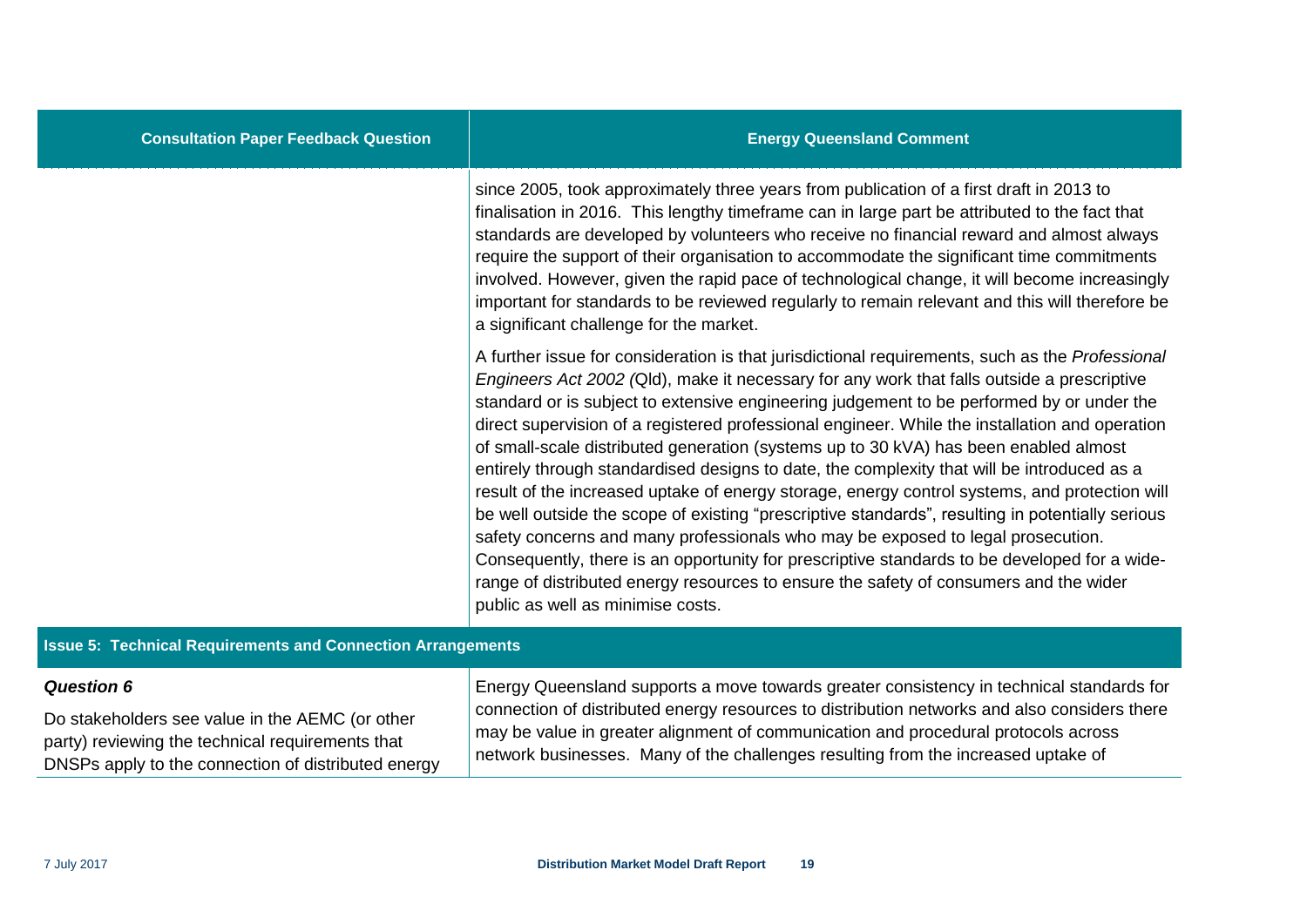since 2005, took approximately three years from publication of a first draft in 2013 to finalisation in 2016. This lengthy timeframe can in large part be attributed to the fact that standards are developed by volunteers who receive no financial reward and almost always require the support of their organisation to accommodate the significant time commitments involved. However, given the rapid pace of technological change, it will become increasingly important for standards to be reviewed regularly to remain relevant and this will therefore be a significant challenge for the market.

A further issue for consideration is that jurisdictional requirements, such as the *Professional Engineers Act 2002 (*Qld), make it necessary for any work that falls outside a prescriptive standard or is subject to extensive engineering judgement to be performed by or under the direct supervision of a registered professional engineer. While the installation and operation of small-scale distributed generation (systems up to 30 kVA) has been enabled almost entirely through standardised designs to date, the complexity that will be introduced as a result of the increased uptake of energy storage, energy control systems, and protection will be well outside the scope of existing "prescriptive standards", resulting in potentially serious safety concerns and many professionals who may be exposed to legal prosecution. Consequently, there is an opportunity for prescriptive standards to be developed for a widerange of distributed energy resources to ensure the safety of consumers and the wider public as well as minimise costs.

#### **Issue 5: Technical Requirements and Connection Arrangements**

| <b>Question 6</b>                                   | Energy Queensland supports a move towards greater consistency in technical standards for     |
|-----------------------------------------------------|----------------------------------------------------------------------------------------------|
| Do stakeholders see value in the AEMC (or other     | connection of distributed energy resources to distribution networks and also considers there |
| party) reviewing the technical requirements that    | may be value in greater alignment of communication and procedural protocols across           |
| DNSPs apply to the connection of distributed energy | network businesses. Many of the challenges resulting from the increased uptake of            |